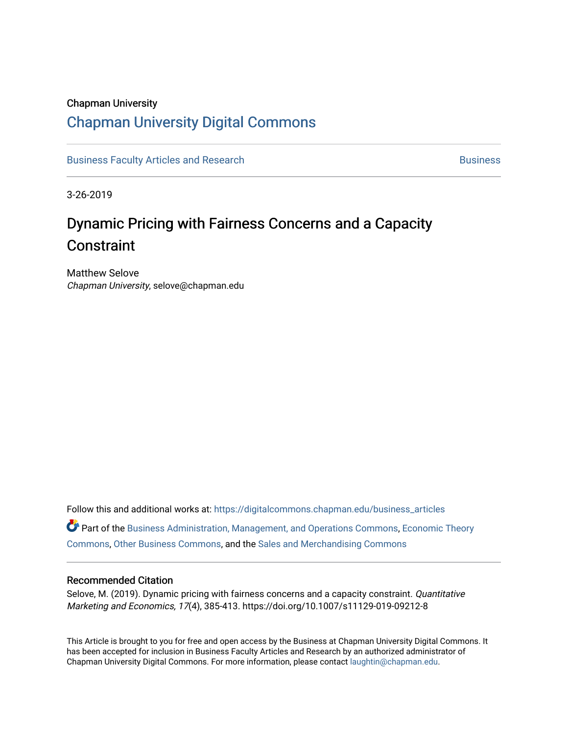### Chapman University [Chapman University Digital Commons](https://digitalcommons.chapman.edu/)

[Business Faculty Articles and Research](https://digitalcommons.chapman.edu/business_articles) [Business](https://digitalcommons.chapman.edu/business) **Business** Business

3-26-2019

# Dynamic Pricing with Fairness Concerns and a Capacity **Constraint**

Matthew Selove Chapman University, selove@chapman.edu

Follow this and additional works at: [https://digitalcommons.chapman.edu/business\\_articles](https://digitalcommons.chapman.edu/business_articles?utm_source=digitalcommons.chapman.edu%2Fbusiness_articles%2F94&utm_medium=PDF&utm_campaign=PDFCoverPages)  Part of the [Business Administration, Management, and Operations Commons](http://network.bepress.com/hgg/discipline/623?utm_source=digitalcommons.chapman.edu%2Fbusiness_articles%2F94&utm_medium=PDF&utm_campaign=PDFCoverPages), [Economic Theory](http://network.bepress.com/hgg/discipline/344?utm_source=digitalcommons.chapman.edu%2Fbusiness_articles%2F94&utm_medium=PDF&utm_campaign=PDFCoverPages) [Commons](http://network.bepress.com/hgg/discipline/344?utm_source=digitalcommons.chapman.edu%2Fbusiness_articles%2F94&utm_medium=PDF&utm_campaign=PDFCoverPages), [Other Business Commons](http://network.bepress.com/hgg/discipline/647?utm_source=digitalcommons.chapman.edu%2Fbusiness_articles%2F94&utm_medium=PDF&utm_campaign=PDFCoverPages), and the [Sales and Merchandising Commons](http://network.bepress.com/hgg/discipline/646?utm_source=digitalcommons.chapman.edu%2Fbusiness_articles%2F94&utm_medium=PDF&utm_campaign=PDFCoverPages) 

#### Recommended Citation

Selove, M. (2019). Dynamic pricing with fairness concerns and a capacity constraint. Quantitative Marketing and Economics, 17(4), 385-413. https://doi.org/10.1007/s11129-019-09212-8

This Article is brought to you for free and open access by the Business at Chapman University Digital Commons. It has been accepted for inclusion in Business Faculty Articles and Research by an authorized administrator of Chapman University Digital Commons. For more information, please contact [laughtin@chapman.edu](mailto:laughtin@chapman.edu).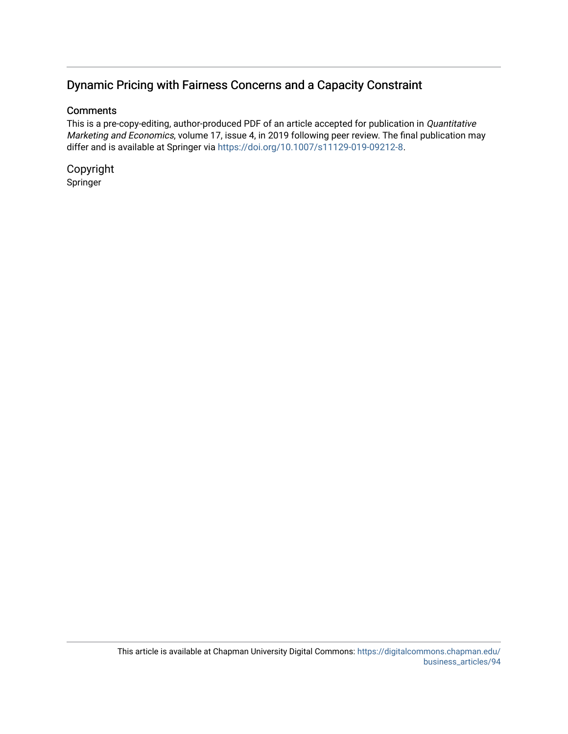### Dynamic Pricing with Fairness Concerns and a Capacity Constraint

#### **Comments**

This is a pre-copy-editing, author-produced PDF of an article accepted for publication in Quantitative Marketing and Economics, volume 17, issue 4, in 2019 following peer review. The final publication may differ and is available at Springer via [https://doi.org/10.1007/s11129-019-09212-8.](https://doi.org/10.1007/s11129-019-09212-8)

Copyright Springer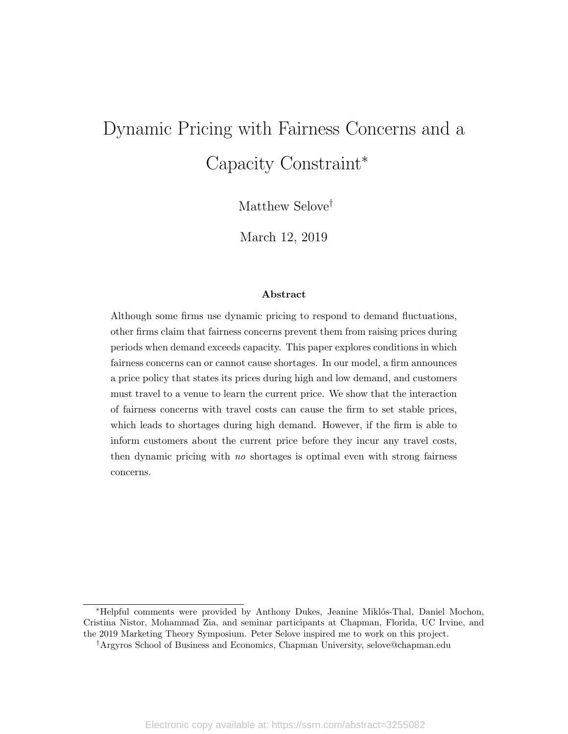# Dynamic Pricing with Fairness Concerns and a Capacity Constraint<sup>∗</sup>

Matthew Selove†

March 12, 2019

#### Abstract

Although some firms use dynamic pricing to respond to demand fluctuations, other firms claim that fairness concerns prevent them from raising prices during periods when demand exceeds capacity. This paper explores conditions in which fairness concerns can or cannot cause shortages. In our model, a firm announces a price policy that states its prices during high and low demand, and customers must travel to a venue to learn the current price. We show that the interaction of fairness concerns with travel costs can cause the firm to set stable prices, which leads to shortages during high demand. However, if the firm is able to inform customers about the current price before they incur any travel costs, then dynamic pricing with no shortages is optimal even with strong fairness concerns.

<sup>\*</sup>Helpful comments were provided by Anthony Dukes, Jeanine Miklós-Thal, Daniel Mochon, Cristina Nistor, Mohammad Zia, and seminar participants at Chapman, Florida, UC Irvine, and the 2019 Marketing Theory Symposium. Peter Selove inspired me to work on this project.

<sup>†</sup>Argyros School of Business and Economics, Chapman University, selove@chapman.edu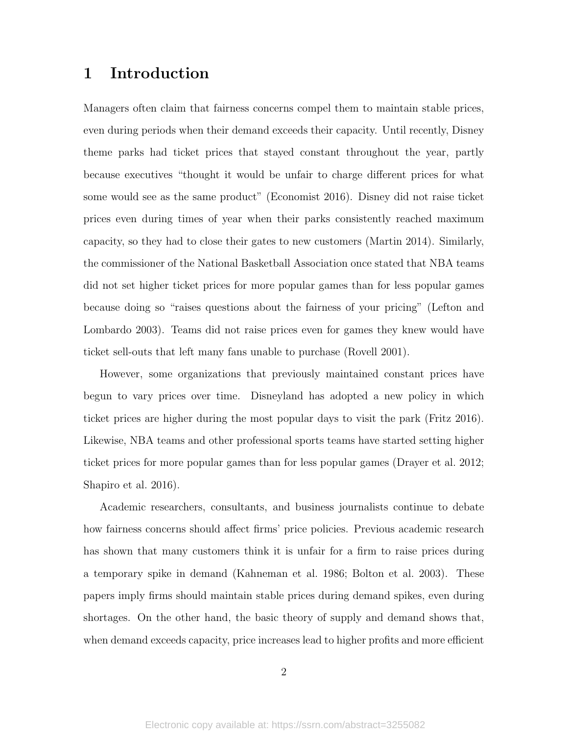### 1 Introduction

Managers often claim that fairness concerns compel them to maintain stable prices, even during periods when their demand exceeds their capacity. Until recently, Disney theme parks had ticket prices that stayed constant throughout the year, partly because executives "thought it would be unfair to charge different prices for what some would see as the same product" (Economist 2016). Disney did not raise ticket prices even during times of year when their parks consistently reached maximum capacity, so they had to close their gates to new customers (Martin 2014). Similarly, the commissioner of the National Basketball Association once stated that NBA teams did not set higher ticket prices for more popular games than for less popular games because doing so "raises questions about the fairness of your pricing" (Lefton and Lombardo 2003). Teams did not raise prices even for games they knew would have ticket sell-outs that left many fans unable to purchase (Rovell 2001).

However, some organizations that previously maintained constant prices have begun to vary prices over time. Disneyland has adopted a new policy in which ticket prices are higher during the most popular days to visit the park (Fritz 2016). Likewise, NBA teams and other professional sports teams have started setting higher ticket prices for more popular games than for less popular games (Drayer et al. 2012; Shapiro et al. 2016).

Academic researchers, consultants, and business journalists continue to debate how fairness concerns should affect firms' price policies. Previous academic research has shown that many customers think it is unfair for a firm to raise prices during a temporary spike in demand (Kahneman et al. 1986; Bolton et al. 2003). These papers imply firms should maintain stable prices during demand spikes, even during shortages. On the other hand, the basic theory of supply and demand shows that, when demand exceeds capacity, price increases lead to higher profits and more efficient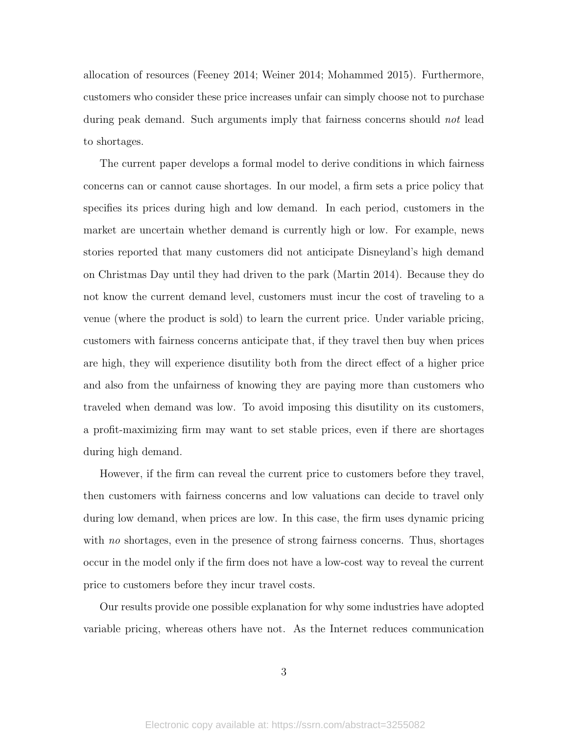allocation of resources (Feeney 2014; Weiner 2014; Mohammed 2015). Furthermore, customers who consider these price increases unfair can simply choose not to purchase during peak demand. Such arguments imply that fairness concerns should not lead to shortages.

The current paper develops a formal model to derive conditions in which fairness concerns can or cannot cause shortages. In our model, a firm sets a price policy that specifies its prices during high and low demand. In each period, customers in the market are uncertain whether demand is currently high or low. For example, news stories reported that many customers did not anticipate Disneyland's high demand on Christmas Day until they had driven to the park (Martin 2014). Because they do not know the current demand level, customers must incur the cost of traveling to a venue (where the product is sold) to learn the current price. Under variable pricing, customers with fairness concerns anticipate that, if they travel then buy when prices are high, they will experience disutility both from the direct effect of a higher price and also from the unfairness of knowing they are paying more than customers who traveled when demand was low. To avoid imposing this disutility on its customers, a profit-maximizing firm may want to set stable prices, even if there are shortages during high demand.

However, if the firm can reveal the current price to customers before they travel, then customers with fairness concerns and low valuations can decide to travel only during low demand, when prices are low. In this case, the firm uses dynamic pricing with no shortages, even in the presence of strong fairness concerns. Thus, shortages occur in the model only if the firm does not have a low-cost way to reveal the current price to customers before they incur travel costs.

Our results provide one possible explanation for why some industries have adopted variable pricing, whereas others have not. As the Internet reduces communication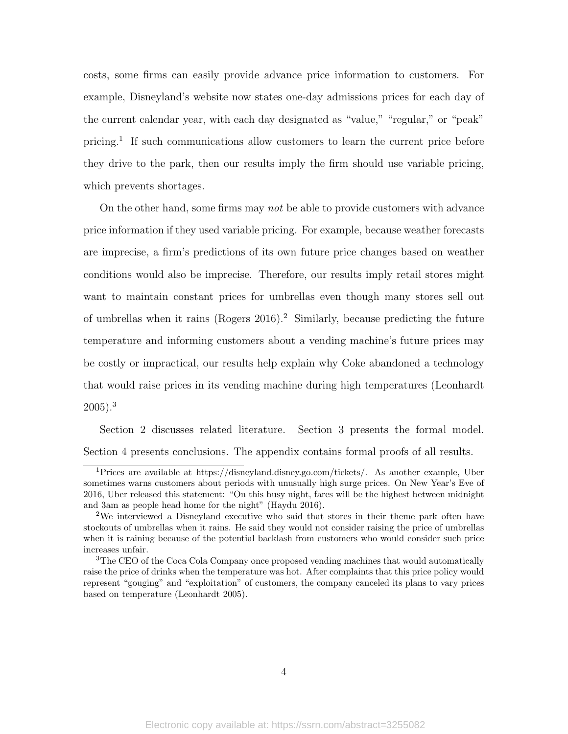costs, some firms can easily provide advance price information to customers. For example, Disneyland's website now states one-day admissions prices for each day of the current calendar year, with each day designated as "value," "regular," or "peak" pricing.<sup>1</sup> If such communications allow customers to learn the current price before they drive to the park, then our results imply the firm should use variable pricing, which prevents shortages.

On the other hand, some firms may not be able to provide customers with advance price information if they used variable pricing. For example, because weather forecasts are imprecise, a firm's predictions of its own future price changes based on weather conditions would also be imprecise. Therefore, our results imply retail stores might want to maintain constant prices for umbrellas even though many stores sell out of umbrellas when it rains (Rogers  $2016$ ).<sup>2</sup> Similarly, because predicting the future temperature and informing customers about a vending machine's future prices may be costly or impractical, our results help explain why Coke abandoned a technology that would raise prices in its vending machine during high temperatures (Leonhardt 2005).<sup>3</sup>

Section 2 discusses related literature. Section 3 presents the formal model. Section 4 presents conclusions. The appendix contains formal proofs of all results.

<sup>1</sup>Prices are available at https://disneyland.disney.go.com/tickets/. As another example, Uber sometimes warns customers about periods with unusually high surge prices. On New Year's Eve of 2016, Uber released this statement: "On this busy night, fares will be the highest between midnight and 3am as people head home for the night" (Haydu 2016).

<sup>2</sup>We interviewed a Disneyland executive who said that stores in their theme park often have stockouts of umbrellas when it rains. He said they would not consider raising the price of umbrellas when it is raining because of the potential backlash from customers who would consider such price increases unfair.

<sup>&</sup>lt;sup>3</sup>The CEO of the Coca Cola Company once proposed vending machines that would automatically raise the price of drinks when the temperature was hot. After complaints that this price policy would represent "gouging" and "exploitation" of customers, the company canceled its plans to vary prices based on temperature (Leonhardt 2005).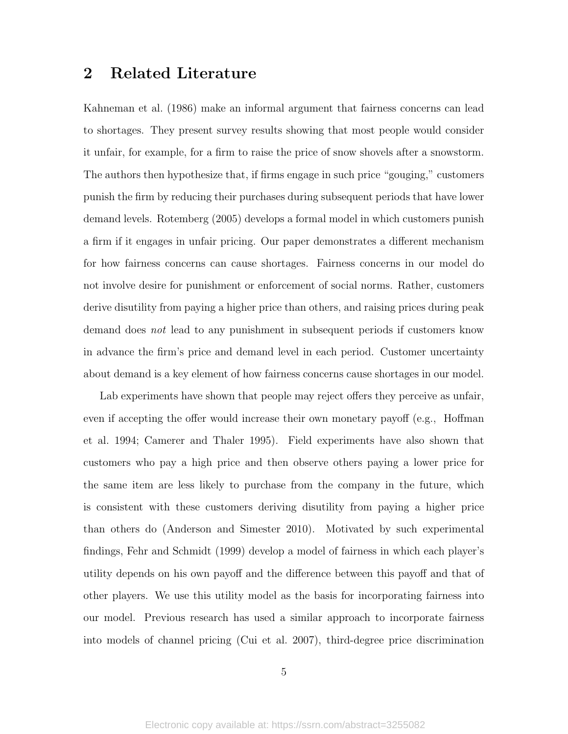### 2 Related Literature

Kahneman et al. (1986) make an informal argument that fairness concerns can lead to shortages. They present survey results showing that most people would consider it unfair, for example, for a firm to raise the price of snow shovels after a snowstorm. The authors then hypothesize that, if firms engage in such price "gouging," customers punish the firm by reducing their purchases during subsequent periods that have lower demand levels. Rotemberg (2005) develops a formal model in which customers punish a firm if it engages in unfair pricing. Our paper demonstrates a different mechanism for how fairness concerns can cause shortages. Fairness concerns in our model do not involve desire for punishment or enforcement of social norms. Rather, customers derive disutility from paying a higher price than others, and raising prices during peak demand does not lead to any punishment in subsequent periods if customers know in advance the firm's price and demand level in each period. Customer uncertainty about demand is a key element of how fairness concerns cause shortages in our model.

Lab experiments have shown that people may reject offers they perceive as unfair, even if accepting the offer would increase their own monetary payoff (e.g., Hoffman et al. 1994; Camerer and Thaler 1995). Field experiments have also shown that customers who pay a high price and then observe others paying a lower price for the same item are less likely to purchase from the company in the future, which is consistent with these customers deriving disutility from paying a higher price than others do (Anderson and Simester 2010). Motivated by such experimental findings, Fehr and Schmidt (1999) develop a model of fairness in which each player's utility depends on his own payoff and the difference between this payoff and that of other players. We use this utility model as the basis for incorporating fairness into our model. Previous research has used a similar approach to incorporate fairness into models of channel pricing (Cui et al. 2007), third-degree price discrimination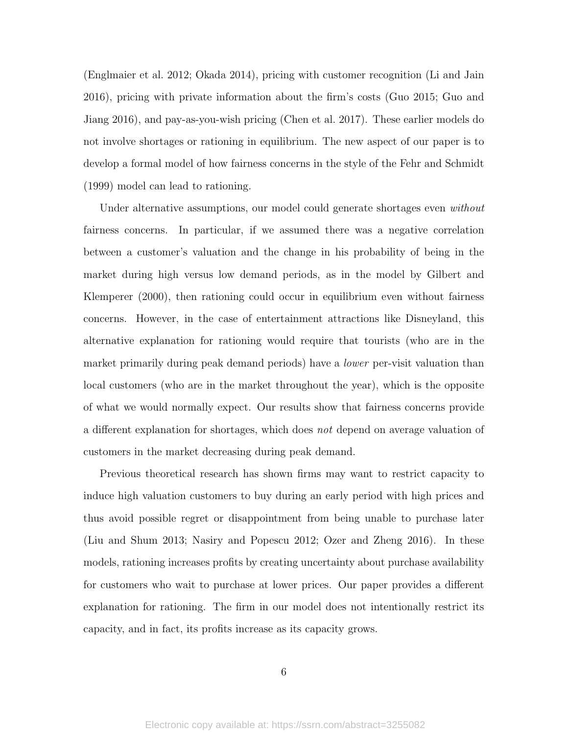(Englmaier et al. 2012; Okada 2014), pricing with customer recognition (Li and Jain 2016), pricing with private information about the firm's costs (Guo 2015; Guo and Jiang 2016), and pay-as-you-wish pricing (Chen et al. 2017). These earlier models do not involve shortages or rationing in equilibrium. The new aspect of our paper is to develop a formal model of how fairness concerns in the style of the Fehr and Schmidt (1999) model can lead to rationing.

Under alternative assumptions, our model could generate shortages even *without* fairness concerns. In particular, if we assumed there was a negative correlation between a customer's valuation and the change in his probability of being in the market during high versus low demand periods, as in the model by Gilbert and Klemperer (2000), then rationing could occur in equilibrium even without fairness concerns. However, in the case of entertainment attractions like Disneyland, this alternative explanation for rationing would require that tourists (who are in the market primarily during peak demand periods) have a *lower* per-visit valuation than local customers (who are in the market throughout the year), which is the opposite of what we would normally expect. Our results show that fairness concerns provide a different explanation for shortages, which does not depend on average valuation of customers in the market decreasing during peak demand.

Previous theoretical research has shown firms may want to restrict capacity to induce high valuation customers to buy during an early period with high prices and thus avoid possible regret or disappointment from being unable to purchase later (Liu and Shum 2013; Nasiry and Popescu 2012; Ozer and Zheng 2016). In these models, rationing increases profits by creating uncertainty about purchase availability for customers who wait to purchase at lower prices. Our paper provides a different explanation for rationing. The firm in our model does not intentionally restrict its capacity, and in fact, its profits increase as its capacity grows.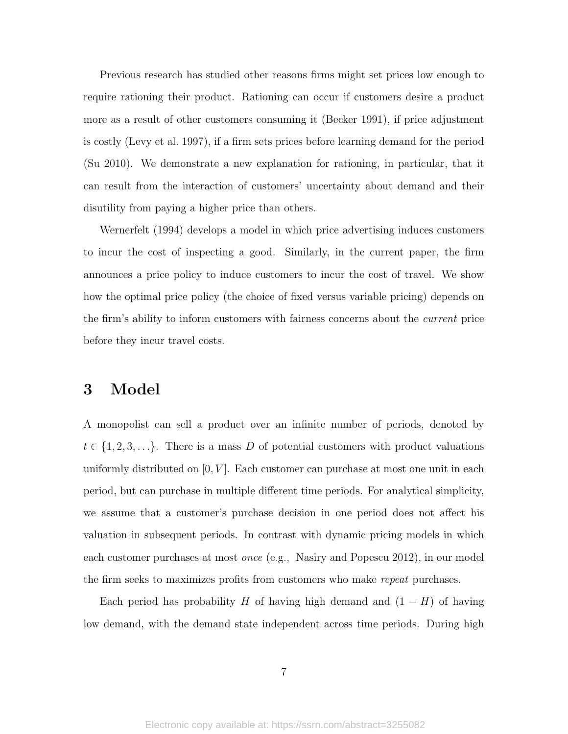Previous research has studied other reasons firms might set prices low enough to require rationing their product. Rationing can occur if customers desire a product more as a result of other customers consuming it (Becker 1991), if price adjustment is costly (Levy et al. 1997), if a firm sets prices before learning demand for the period (Su 2010). We demonstrate a new explanation for rationing, in particular, that it can result from the interaction of customers' uncertainty about demand and their disutility from paying a higher price than others.

Wernerfelt (1994) develops a model in which price advertising induces customers to incur the cost of inspecting a good. Similarly, in the current paper, the firm announces a price policy to induce customers to incur the cost of travel. We show how the optimal price policy (the choice of fixed versus variable pricing) depends on the firm's ability to inform customers with fairness concerns about the *current* price before they incur travel costs.

### 3 Model

A monopolist can sell a product over an infinite number of periods, denoted by  $t \in \{1, 2, 3, \ldots\}$ . There is a mass D of potential customers with product valuations uniformly distributed on  $[0, V]$ . Each customer can purchase at most one unit in each period, but can purchase in multiple different time periods. For analytical simplicity, we assume that a customer's purchase decision in one period does not affect his valuation in subsequent periods. In contrast with dynamic pricing models in which each customer purchases at most once (e.g., Nasiry and Popescu 2012), in our model the firm seeks to maximizes profits from customers who make *repeat* purchases.

Each period has probability H of having high demand and  $(1 - H)$  of having low demand, with the demand state independent across time periods. During high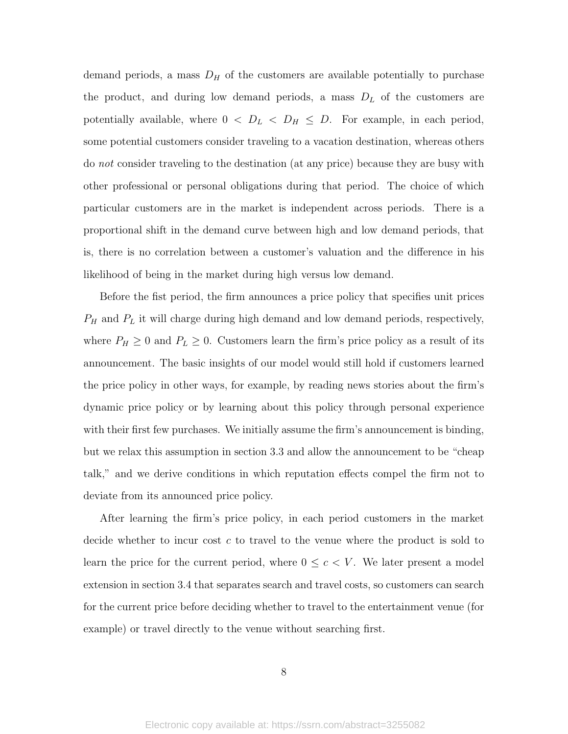demand periods, a mass  $D_H$  of the customers are available potentially to purchase the product, and during low demand periods, a mass  $D<sub>L</sub>$  of the customers are potentially available, where  $0 < D_L < D_H \le D$ . For example, in each period, some potential customers consider traveling to a vacation destination, whereas others do not consider traveling to the destination (at any price) because they are busy with other professional or personal obligations during that period. The choice of which particular customers are in the market is independent across periods. There is a proportional shift in the demand curve between high and low demand periods, that is, there is no correlation between a customer's valuation and the difference in his likelihood of being in the market during high versus low demand.

Before the fist period, the firm announces a price policy that specifies unit prices  $P_H$  and  $P_L$  it will charge during high demand and low demand periods, respectively, where  $P_H \ge 0$  and  $P_L \ge 0$ . Customers learn the firm's price policy as a result of its announcement. The basic insights of our model would still hold if customers learned the price policy in other ways, for example, by reading news stories about the firm's dynamic price policy or by learning about this policy through personal experience with their first few purchases. We initially assume the firm's announcement is binding, but we relax this assumption in section 3.3 and allow the announcement to be "cheap talk," and we derive conditions in which reputation effects compel the firm not to deviate from its announced price policy.

After learning the firm's price policy, in each period customers in the market decide whether to incur cost c to travel to the venue where the product is sold to learn the price for the current period, where  $0 \leq c \leq V$ . We later present a model extension in section 3.4 that separates search and travel costs, so customers can search for the current price before deciding whether to travel to the entertainment venue (for example) or travel directly to the venue without searching first.

8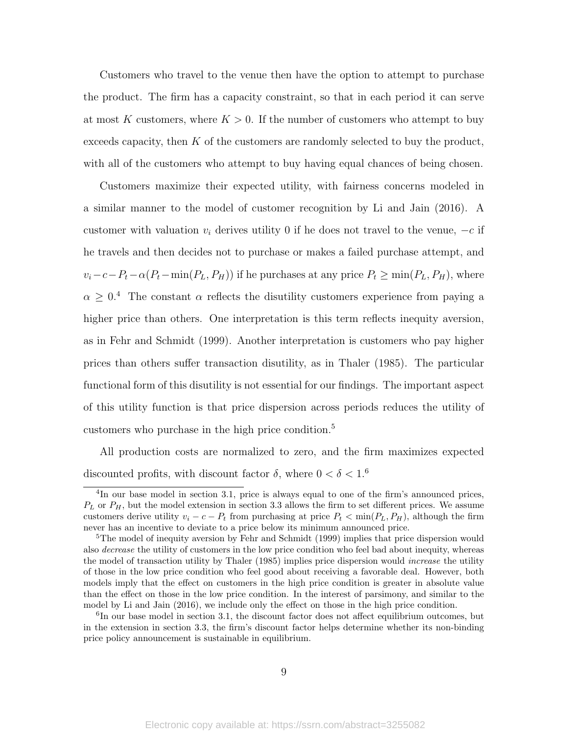Customers who travel to the venue then have the option to attempt to purchase the product. The firm has a capacity constraint, so that in each period it can serve at most K customers, where  $K > 0$ . If the number of customers who attempt to buy exceeds capacity, then  $K$  of the customers are randomly selected to buy the product, with all of the customers who attempt to buy having equal chances of being chosen.

Customers maximize their expected utility, with fairness concerns modeled in a similar manner to the model of customer recognition by Li and Jain (2016). A customer with valuation  $v_i$  derives utility 0 if he does not travel to the venue,  $-c$  if he travels and then decides not to purchase or makes a failed purchase attempt, and  $v_i-c-P_t-\alpha(P_t-\min(P_L, P_H))$  if he purchases at any price  $P_t \geq \min(P_L, P_H)$ , where  $\alpha \geq 0.4$  The constant  $\alpha$  reflects the disutility customers experience from paying a higher price than others. One interpretation is this term reflects inequity aversion, as in Fehr and Schmidt (1999). Another interpretation is customers who pay higher prices than others suffer transaction disutility, as in Thaler (1985). The particular functional form of this disutility is not essential for our findings. The important aspect of this utility function is that price dispersion across periods reduces the utility of customers who purchase in the high price condition.<sup>5</sup>

All production costs are normalized to zero, and the firm maximizes expected discounted profits, with discount factor  $\delta$ , where  $0 < \delta < 1$ .<sup>6</sup>

<sup>&</sup>lt;sup>4</sup>In our base model in section 3.1, price is always equal to one of the firm's announced prices,  $P_L$  or  $P_H$ , but the model extension in section 3.3 allows the firm to set different prices. We assume customers derive utility  $v_i - c - P_t$  from purchasing at price  $P_t < \min(P_L, P_H)$ , although the firm never has an incentive to deviate to a price below its minimum announced price.

<sup>&</sup>lt;sup>5</sup>The model of inequity aversion by Fehr and Schmidt (1999) implies that price dispersion would also *decrease* the utility of customers in the low price condition who feel bad about inequity, whereas the model of transaction utility by Thaler (1985) implies price dispersion would *increase* the utility of those in the low price condition who feel good about receiving a favorable deal. However, both models imply that the effect on customers in the high price condition is greater in absolute value than the effect on those in the low price condition. In the interest of parsimony, and similar to the model by Li and Jain (2016), we include only the effect on those in the high price condition.

<sup>&</sup>lt;sup>6</sup>In our base model in section 3.1, the discount factor does not affect equilibrium outcomes, but in the extension in section 3.3, the firm's discount factor helps determine whether its non-binding price policy announcement is sustainable in equilibrium.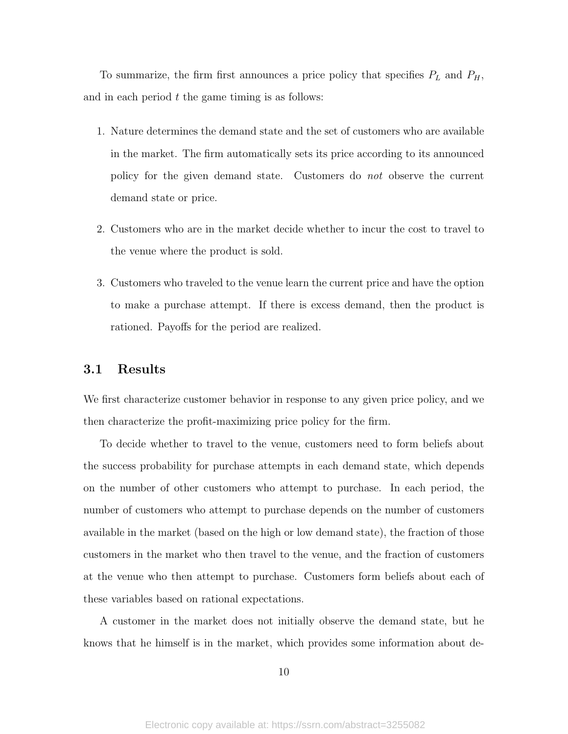To summarize, the firm first announces a price policy that specifies  $P_L$  and  $P_H$ , and in each period  $t$  the game timing is as follows:

- 1. Nature determines the demand state and the set of customers who are available in the market. The firm automatically sets its price according to its announced policy for the given demand state. Customers do not observe the current demand state or price.
- 2. Customers who are in the market decide whether to incur the cost to travel to the venue where the product is sold.
- 3. Customers who traveled to the venue learn the current price and have the option to make a purchase attempt. If there is excess demand, then the product is rationed. Payoffs for the period are realized.

#### 3.1 Results

We first characterize customer behavior in response to any given price policy, and we then characterize the profit-maximizing price policy for the firm.

To decide whether to travel to the venue, customers need to form beliefs about the success probability for purchase attempts in each demand state, which depends on the number of other customers who attempt to purchase. In each period, the number of customers who attempt to purchase depends on the number of customers available in the market (based on the high or low demand state), the fraction of those customers in the market who then travel to the venue, and the fraction of customers at the venue who then attempt to purchase. Customers form beliefs about each of these variables based on rational expectations.

A customer in the market does not initially observe the demand state, but he knows that he himself is in the market, which provides some information about de-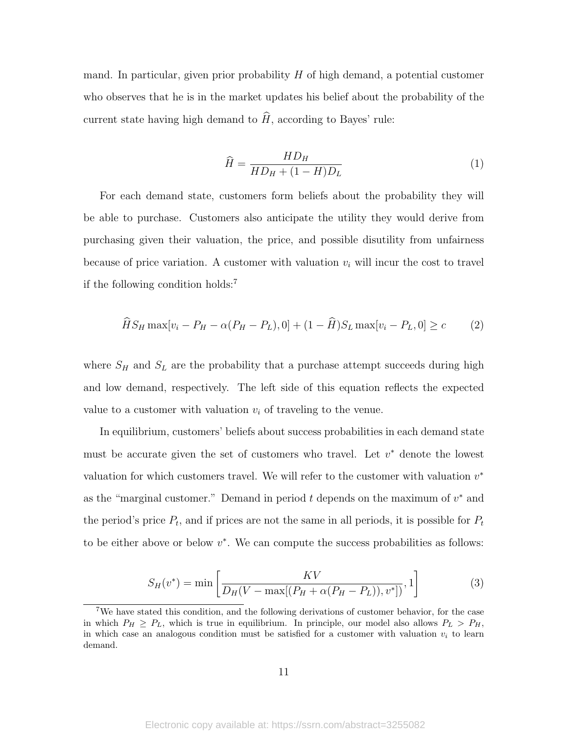mand. In particular, given prior probability  $H$  of high demand, a potential customer who observes that he is in the market updates his belief about the probability of the current state having high demand to  $\widehat{H}$ , according to Bayes' rule:

$$
\widehat{H} = \frac{HD_H}{HD_H + (1 - H)D_L} \tag{1}
$$

For each demand state, customers form beliefs about the probability they will be able to purchase. Customers also anticipate the utility they would derive from purchasing given their valuation, the price, and possible disutility from unfairness because of price variation. A customer with valuation  $v_i$  will incur the cost to travel if the following condition holds:<sup>7</sup>

$$
\widehat{H}S_H \max[v_i - P_H - \alpha(P_H - P_L), 0] + (1 - \widehat{H})S_L \max[v_i - P_L, 0] \ge c \tag{2}
$$

where  $S_H$  and  $S_L$  are the probability that a purchase attempt succeeds during high and low demand, respectively. The left side of this equation reflects the expected value to a customer with valuation  $v_i$  of traveling to the venue.

In equilibrium, customers' beliefs about success probabilities in each demand state must be accurate given the set of customers who travel. Let  $v^*$  denote the lowest valuation for which customers travel. We will refer to the customer with valuation  $v^*$ as the "marginal customer." Demand in period  $t$  depends on the maximum of  $v^*$  and the period's price  $P_t$ , and if prices are not the same in all periods, it is possible for  $P_t$ to be either above or below  $v^*$ . We can compute the success probabilities as follows:

$$
S_H(v^*) = \min\left[\frac{KV}{D_H(V - \max[(P_H + \alpha(P_H - P_L)), v^*])}, 1\right]
$$
(3)

<sup>&</sup>lt;sup>7</sup>We have stated this condition, and the following derivations of customer behavior, for the case in which  $P_H \ge P_L$ , which is true in equilibrium. In principle, our model also allows  $P_L > P_H$ , in which case an analogous condition must be satisfied for a customer with valuation  $v_i$  to learn demand.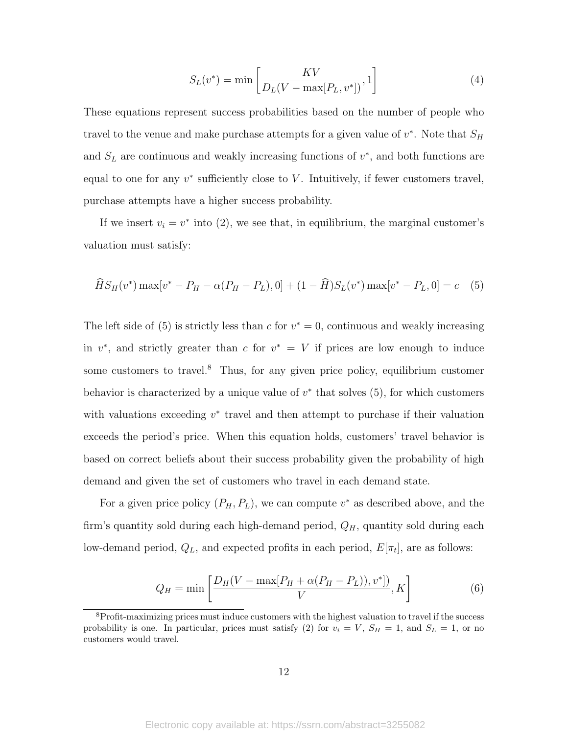$$
S_L(v^*) = \min\left[\frac{KV}{D_L(V - \max[P_L, v^*])}, 1\right]
$$
\n(4)

These equations represent success probabilities based on the number of people who travel to the venue and make purchase attempts for a given value of  $v^*$ . Note that  $S_H$ and  $S_L$  are continuous and weakly increasing functions of  $v^*$ , and both functions are equal to one for any  $v^*$  sufficiently close to  $V$ . Intuitively, if fewer customers travel, purchase attempts have a higher success probability.

If we insert  $v_i = v^*$  into (2), we see that, in equilibrium, the marginal customer's valuation must satisfy:

$$
\widehat{H}S_H(v^*)\max[v^*-P_H-\alpha(P_H-P_L),0] + (1-\widehat{H})S_L(v^*)\max[v^*-P_L,0] = c \quad (5)
$$

The left side of (5) is strictly less than c for  $v^* = 0$ , continuous and weakly increasing in  $v^*$ , and strictly greater than c for  $v^* = V$  if prices are low enough to induce some customers to travel. $8$  Thus, for any given price policy, equilibrium customer behavior is characterized by a unique value of  $v^*$  that solves  $(5)$ , for which customers with valuations exceeding  $v^*$  travel and then attempt to purchase if their valuation exceeds the period's price. When this equation holds, customers' travel behavior is based on correct beliefs about their success probability given the probability of high demand and given the set of customers who travel in each demand state.

For a given price policy  $(P_H, P_L)$ , we can compute  $v^*$  as described above, and the firm's quantity sold during each high-demand period,  $Q_H$ , quantity sold during each low-demand period,  $Q_L$ , and expected profits in each period,  $E[\pi_t]$ , are as follows:

$$
Q_H = \min\left[\frac{D_H(V - \max[P_H + \alpha(P_H - P_L)), v^*])}{V}, K\right]
$$
(6)

<sup>&</sup>lt;sup>8</sup>Profit-maximizing prices must induce customers with the highest valuation to travel if the success probability is one. In particular, prices must satisfy (2) for  $v_i = V$ ,  $S_H = 1$ , and  $S_L = 1$ , or no customers would travel.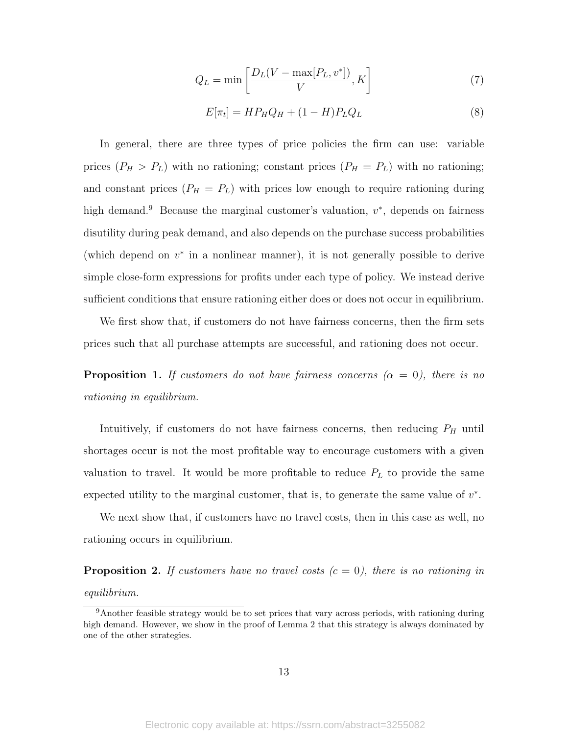$$
Q_L = \min\left[\frac{D_L(V - \max[P_L, v^*])}{V}, K\right]
$$
\n(7)

$$
E[\pi_t] = HP_H Q_H + (1 - H)P_L Q_L \tag{8}
$$

In general, there are three types of price policies the firm can use: variable prices  $(P_H > P_L)$  with no rationing; constant prices  $(P_H = P_L)$  with no rationing; and constant prices  $(P_H = P_L)$  with prices low enough to require rationing during high demand.<sup>9</sup> Because the marginal customer's valuation,  $v^*$ , depends on fairness disutility during peak demand, and also depends on the purchase success probabilities (which depend on  $v^*$  in a nonlinear manner), it is not generally possible to derive simple close-form expressions for profits under each type of policy. We instead derive sufficient conditions that ensure rationing either does or does not occur in equilibrium.

We first show that, if customers do not have fairness concerns, then the firm sets prices such that all purchase attempts are successful, and rationing does not occur.

**Proposition 1.** If customers do not have fairness concerns  $(\alpha = 0)$ , there is no rationing in equilibrium.

Intuitively, if customers do not have fairness concerns, then reducing  $P_H$  until shortages occur is not the most profitable way to encourage customers with a given valuation to travel. It would be more profitable to reduce  $P<sub>L</sub>$  to provide the same expected utility to the marginal customer, that is, to generate the same value of  $v^*$ .

We next show that, if customers have no travel costs, then in this case as well, no rationing occurs in equilibrium.

**Proposition 2.** If customers have no travel costs  $(c = 0)$ , there is no rationing in equilibrium.

<sup>9</sup>Another feasible strategy would be to set prices that vary across periods, with rationing during high demand. However, we show in the proof of Lemma 2 that this strategy is always dominated by one of the other strategies.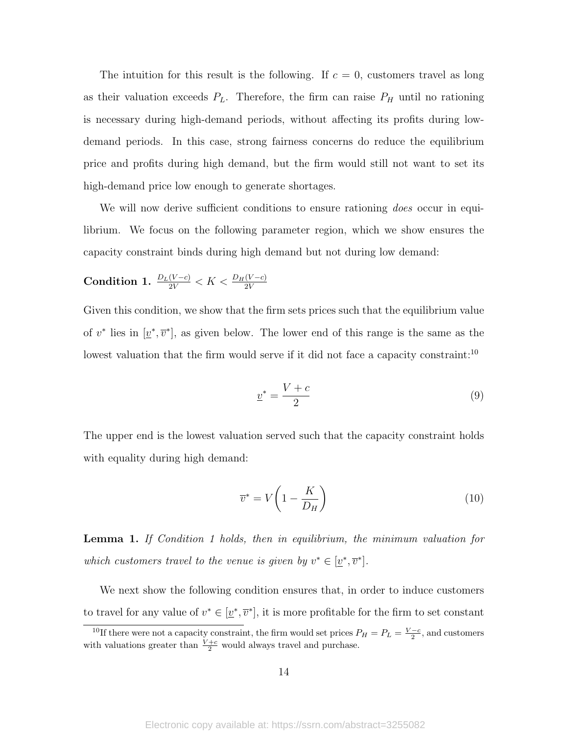The intuition for this result is the following. If  $c = 0$ , customers travel as long as their valuation exceeds  $P_L$ . Therefore, the firm can raise  $P_H$  until no rationing is necessary during high-demand periods, without affecting its profits during lowdemand periods. In this case, strong fairness concerns do reduce the equilibrium price and profits during high demand, but the firm would still not want to set its high-demand price low enough to generate shortages.

We will now derive sufficient conditions to ensure rationing *does* occur in equilibrium. We focus on the following parameter region, which we show ensures the capacity constraint binds during high demand but not during low demand:

# Condition 1.  $\frac{D_L(V-c)}{2V} < K < \frac{D_H(V-c)}{2V}$

Given this condition, we show that the firm sets prices such that the equilibrium value of  $v^*$  lies in  $[\underline{v}^*, \overline{v}^*]$ , as given below. The lower end of this range is the same as the lowest valuation that the firm would serve if it did not face a capacity constraint:<sup>10</sup>

$$
\underline{v}^* = \frac{V + c}{2} \tag{9}
$$

The upper end is the lowest valuation served such that the capacity constraint holds with equality during high demand:

$$
\overline{v}^* = V \left( 1 - \frac{K}{D_H} \right) \tag{10}
$$

**Lemma 1.** If Condition 1 holds, then in equilibrium, the minimum valuation for which customers travel to the venue is given by  $v^* \in [\underline{v}^*, \overline{v}^*].$ 

We next show the following condition ensures that, in order to induce customers to travel for any value of  $v^* \in [\underline{v}^*, \overline{v}^*]$ , it is more profitable for the firm to set constant

<sup>&</sup>lt;sup>10</sup>If there were not a capacity constraint, the firm would set prices  $P_H = P_L = \frac{V-c}{2}$ , and customers with valuations greater than  $\frac{V+c}{2}$  would always travel and purchase.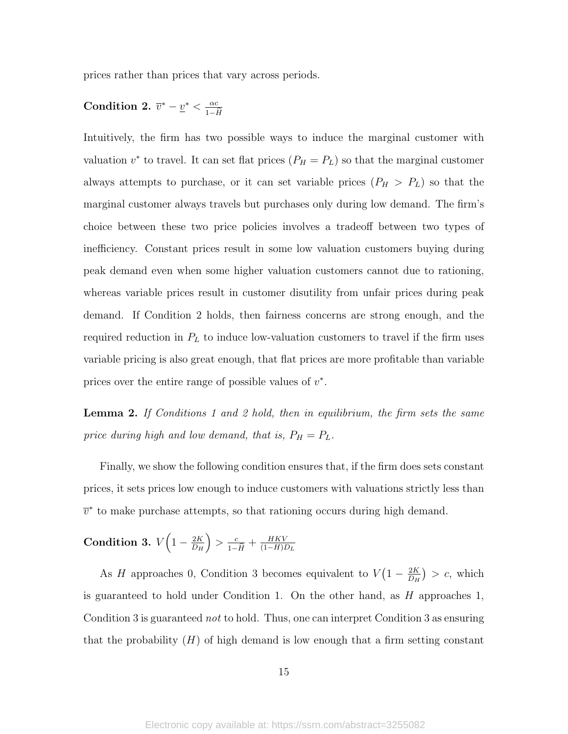prices rather than prices that vary across periods.

#### Condition 2.  $\overline{v}^* - \underline{v}^* < \frac{\alpha c}{1-\overline{v}}$  $1-H$

Intuitively, the firm has two possible ways to induce the marginal customer with valuation  $v^*$  to travel. It can set flat prices  $(P_H = P_L)$  so that the marginal customer always attempts to purchase, or it can set variable prices  $(P_H > P_L)$  so that the marginal customer always travels but purchases only during low demand. The firm's choice between these two price policies involves a tradeoff between two types of inefficiency. Constant prices result in some low valuation customers buying during peak demand even when some higher valuation customers cannot due to rationing, whereas variable prices result in customer disutility from unfair prices during peak demand. If Condition 2 holds, then fairness concerns are strong enough, and the required reduction in  $P_L$  to induce low-valuation customers to travel if the firm uses variable pricing is also great enough, that flat prices are more profitable than variable prices over the entire range of possible values of  $v^*$ .

**Lemma 2.** If Conditions 1 and 2 hold, then in equilibrium, the firm sets the same price during high and low demand, that is,  $P_H = P_L$ .

Finally, we show the following condition ensures that, if the firm does sets constant prices, it sets prices low enough to induce customers with valuations strictly less than  $\bar{v}^*$  to make purchase attempts, so that rationing occurs during high demand.

Condition 3. 
$$
V\left(1-\frac{2K}{D_H}\right) > \frac{c}{1-\hat{H}} + \frac{HKV}{(1-H)D_L}
$$

As H approaches 0, Condition 3 becomes equivalent to  $V(1 - \frac{2K}{D_{\text{max}}}$  $\frac{2K}{D_H}$  > c, which is guaranteed to hold under Condition 1. On the other hand, as  $H$  approaches 1, Condition 3 is guaranteed not to hold. Thus, one can interpret Condition 3 as ensuring that the probability  $(H)$  of high demand is low enough that a firm setting constant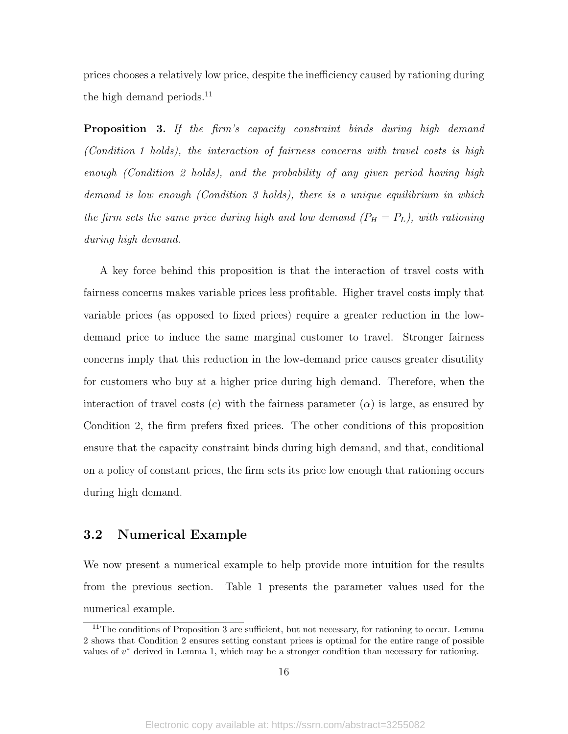prices chooses a relatively low price, despite the inefficiency caused by rationing during the high demand periods. $^{11}$ 

**Proposition 3.** If the firm's capacity constraint binds during high demand (Condition 1 holds), the interaction of fairness concerns with travel costs is high enough (Condition 2 holds), and the probability of any given period having high demand is low enough (Condition 3 holds), there is a unique equilibrium in which the firm sets the same price during high and low demand  $(P_H = P_L)$ , with rationing during high demand.

A key force behind this proposition is that the interaction of travel costs with fairness concerns makes variable prices less profitable. Higher travel costs imply that variable prices (as opposed to fixed prices) require a greater reduction in the lowdemand price to induce the same marginal customer to travel. Stronger fairness concerns imply that this reduction in the low-demand price causes greater disutility for customers who buy at a higher price during high demand. Therefore, when the interaction of travel costs (c) with the fairness parameter ( $\alpha$ ) is large, as ensured by Condition 2, the firm prefers fixed prices. The other conditions of this proposition ensure that the capacity constraint binds during high demand, and that, conditional on a policy of constant prices, the firm sets its price low enough that rationing occurs during high demand.

#### 3.2 Numerical Example

We now present a numerical example to help provide more intuition for the results from the previous section. Table 1 presents the parameter values used for the numerical example.

<sup>&</sup>lt;sup>11</sup>The conditions of Proposition 3 are sufficient, but not necessary, for rationing to occur. Lemma 2 shows that Condition 2 ensures setting constant prices is optimal for the entire range of possible values of  $v^*$  derived in Lemma 1, which may be a stronger condition than necessary for rationing.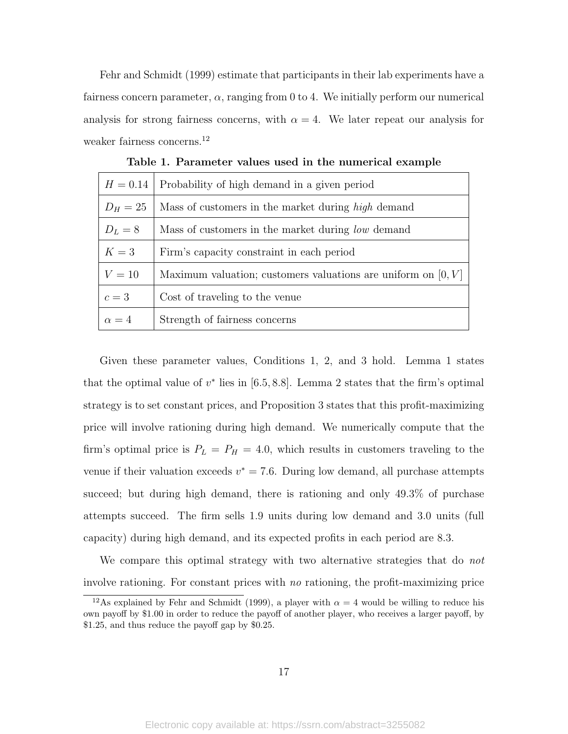Fehr and Schmidt (1999) estimate that participants in their lab experiments have a fairness concern parameter,  $\alpha$ , ranging from 0 to 4. We initially perform our numerical analysis for strong fairness concerns, with  $\alpha = 4$ . We later repeat our analysis for weaker fairness concerns.<sup>12</sup>

| $H = 0.14$   | Probability of high demand in a given period                    |  |
|--------------|-----------------------------------------------------------------|--|
| $D_H = 25$   | Mass of customers in the market during high demand              |  |
| $D_L=8$      | Mass of customers in the market during low demand               |  |
| $K=3$        | Firm's capacity constraint in each period                       |  |
| $V=10$       | Maximum valuation; customers valuations are uniform on $[0, V]$ |  |
| $c=3$        | Cost of traveling to the venue                                  |  |
| $\alpha = 4$ | Strength of fairness concerns                                   |  |

Table 1. Parameter values used in the numerical example

Given these parameter values, Conditions 1, 2, and 3 hold. Lemma 1 states that the optimal value of  $v^*$  lies in [6.5, 8.8]. Lemma 2 states that the firm's optimal strategy is to set constant prices, and Proposition 3 states that this profit-maximizing price will involve rationing during high demand. We numerically compute that the firm's optimal price is  $P_L = P_H = 4.0$ , which results in customers traveling to the venue if their valuation exceeds  $v^* = 7.6$ . During low demand, all purchase attempts succeed; but during high demand, there is rationing and only 49.3% of purchase attempts succeed. The firm sells 1.9 units during low demand and 3.0 units (full capacity) during high demand, and its expected profits in each period are 8.3.

We compare this optimal strategy with two alternative strategies that do *not* involve rationing. For constant prices with no rationing, the profit-maximizing price

<sup>&</sup>lt;sup>12</sup>As explained by Fehr and Schmidt (1999), a player with  $\alpha = 4$  would be willing to reduce his own payoff by \$1.00 in order to reduce the payoff of another player, who receives a larger payoff, by \$1.25, and thus reduce the payoff gap by \$0.25.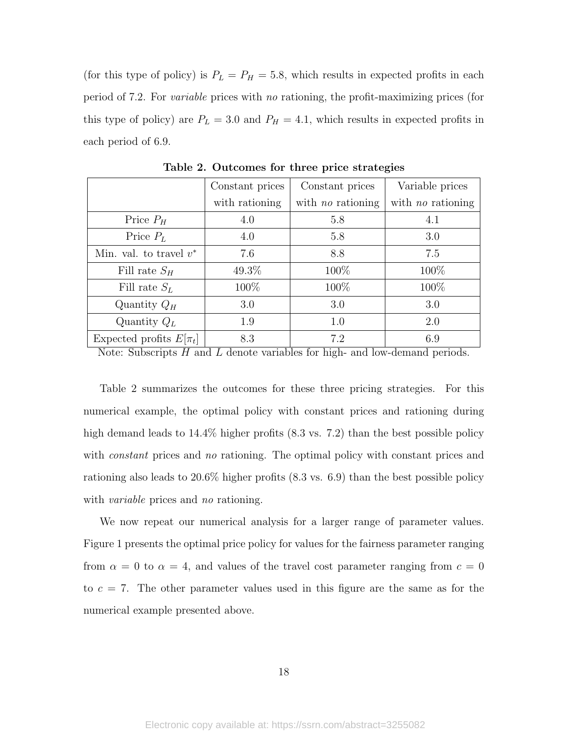(for this type of policy) is  $P_L = P_H = 5.8$ , which results in expected profits in each period of 7.2. For variable prices with no rationing, the profit-maximizing prices (for this type of policy) are  $P_L = 3.0$  and  $P_H = 4.1$ , which results in expected profits in each period of 6.9.

|                             | Constant prices | Constant prices          | Variable prices          |
|-----------------------------|-----------------|--------------------------|--------------------------|
|                             | with rationing  | with <i>no</i> rationing | with <i>no</i> rationing |
| Price $P_H$                 | 4.0             | 5.8                      | 4.1                      |
| Price $P_L$                 | 4.0             | 5.8                      | 3.0                      |
| Min. val. to travel $v^*$   | 7.6             | 8.8                      | 7.5                      |
| Fill rate $S_H$             | 49.3%           | 100\%                    | 100\%                    |
| Fill rate $S_L$             | 100%            | 100%                     | 100%                     |
| Quantity $Q_H$              | 3.0             | 3.0                      | 3.0                      |
| Quantity $Q_L$              | 1.9             | 1.0                      | 2.0                      |
| Expected profits $E[\pi_t]$ | 8.3             | 7.2                      | 6.9                      |

Table 2. Outcomes for three price strategies

Note: Subscripts  $H$  and  $L$  denote variables for high- and low-demand periods.

Table 2 summarizes the outcomes for these three pricing strategies. For this numerical example, the optimal policy with constant prices and rationing during high demand leads to  $14.4\%$  higher profits (8.3 vs. 7.2) than the best possible policy with *constant* prices and no rationing. The optimal policy with constant prices and rationing also leads to 20.6% higher profits (8.3 vs. 6.9) than the best possible policy with *variable* prices and *no* rationing.

We now repeat our numerical analysis for a larger range of parameter values. Figure 1 presents the optimal price policy for values for the fairness parameter ranging from  $\alpha = 0$  to  $\alpha = 4$ , and values of the travel cost parameter ranging from  $c = 0$ to  $c = 7$ . The other parameter values used in this figure are the same as for the numerical example presented above.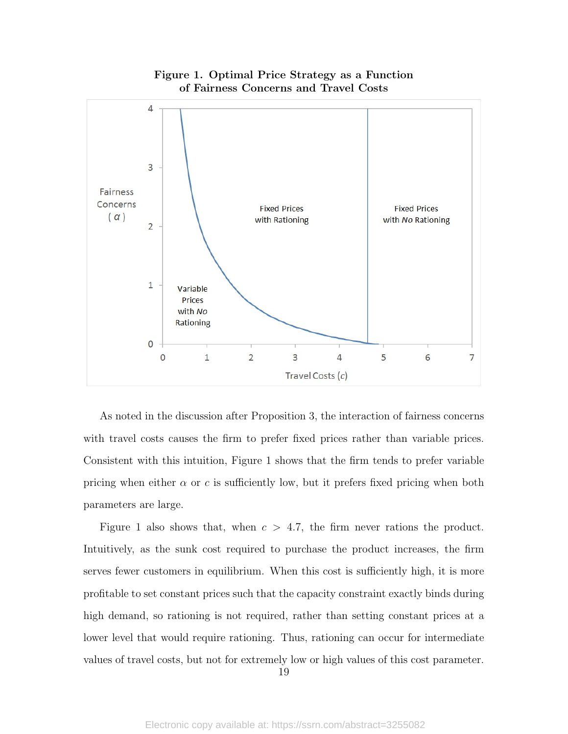

Figure 1. Optimal Price Strategy as a Function of Fairness Concerns and Travel Costs

As noted in the discussion after Proposition 3, the interaction of fairness concerns with travel costs causes the firm to prefer fixed prices rather than variable prices. Consistent with this intuition, Figure 1 shows that the firm tends to prefer variable pricing when either  $\alpha$  or c is sufficiently low, but it prefers fixed pricing when both parameters are large.

Figure 1 also shows that, when  $c > 4.7$ , the firm never rations the product. Intuitively, as the sunk cost required to purchase the product increases, the firm serves fewer customers in equilibrium. When this cost is sufficiently high, it is more profitable to set constant prices such that the capacity constraint exactly binds during high demand, so rationing is not required, rather than setting constant prices at a lower level that would require rationing. Thus, rationing can occur for intermediate values of travel costs, but not for extremely low or high values of this cost parameter.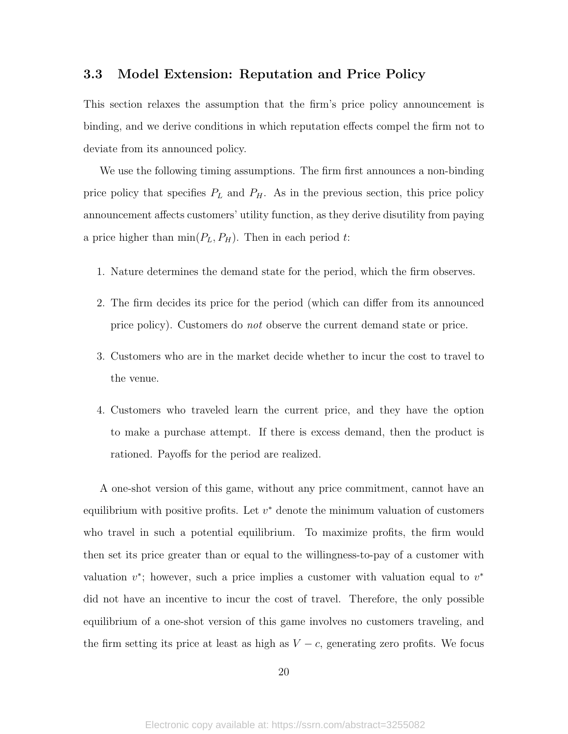#### 3.3 Model Extension: Reputation and Price Policy

This section relaxes the assumption that the firm's price policy announcement is binding, and we derive conditions in which reputation effects compel the firm not to deviate from its announced policy.

We use the following timing assumptions. The firm first announces a non-binding price policy that specifies  $P_L$  and  $P_H$ . As in the previous section, this price policy announcement affects customers' utility function, as they derive disutility from paying a price higher than  $\min(P_L, P_H)$ . Then in each period t:

- 1. Nature determines the demand state for the period, which the firm observes.
- 2. The firm decides its price for the period (which can differ from its announced price policy). Customers do not observe the current demand state or price.
- 3. Customers who are in the market decide whether to incur the cost to travel to the venue.
- 4. Customers who traveled learn the current price, and they have the option to make a purchase attempt. If there is excess demand, then the product is rationed. Payoffs for the period are realized.

A one-shot version of this game, without any price commitment, cannot have an equilibrium with positive profits. Let  $v^*$  denote the minimum valuation of customers who travel in such a potential equilibrium. To maximize profits, the firm would then set its price greater than or equal to the willingness-to-pay of a customer with valuation  $v^*$ ; however, such a price implies a customer with valuation equal to  $v^*$ did not have an incentive to incur the cost of travel. Therefore, the only possible equilibrium of a one-shot version of this game involves no customers traveling, and the firm setting its price at least as high as  $V - c$ , generating zero profits. We focus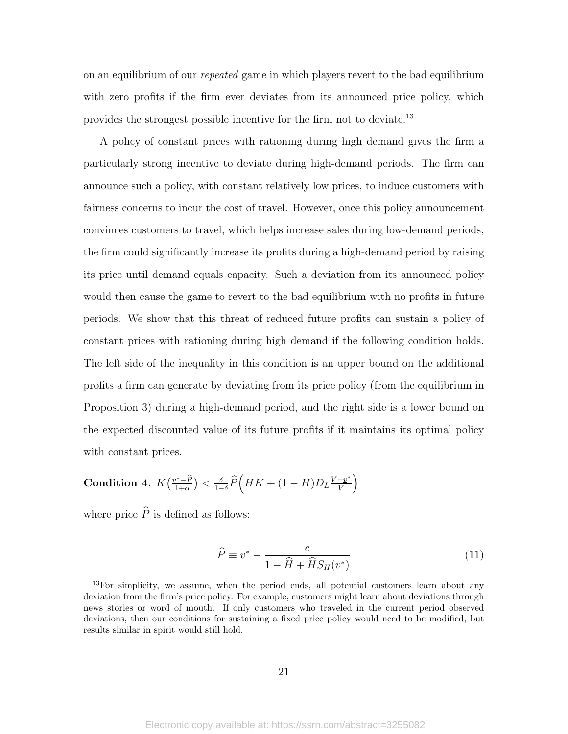on an equilibrium of our repeated game in which players revert to the bad equilibrium with zero profits if the firm ever deviates from its announced price policy, which provides the strongest possible incentive for the firm not to deviate.<sup>13</sup>

A policy of constant prices with rationing during high demand gives the firm a particularly strong incentive to deviate during high-demand periods. The firm can announce such a policy, with constant relatively low prices, to induce customers with fairness concerns to incur the cost of travel. However, once this policy announcement convinces customers to travel, which helps increase sales during low-demand periods, the firm could significantly increase its profits during a high-demand period by raising its price until demand equals capacity. Such a deviation from its announced policy would then cause the game to revert to the bad equilibrium with no profits in future periods. We show that this threat of reduced future profits can sustain a policy of constant prices with rationing during high demand if the following condition holds. The left side of the inequality in this condition is an upper bound on the additional profits a firm can generate by deviating from its price policy (from the equilibrium in Proposition 3) during a high-demand period, and the right side is a lower bound on the expected discounted value of its future profits if it maintains its optimal policy with constant prices.

Condition 4. 
$$
K\left(\frac{\overline{v}^* - \widehat{P}}{1 + \alpha}\right) < \frac{\delta}{1 - \delta} \widehat{P}\left(HK + (1 - H)D_L \frac{V - \underline{v}^*}{V}\right)
$$

where price  $\widehat{P}$  is defined as follows:

$$
\widehat{P} \equiv \underline{v}^* - \frac{c}{1 - \widehat{H} + \widehat{H} S_H(\underline{v}^*)}
$$
\n(11)

<sup>&</sup>lt;sup>13</sup>For simplicity, we assume, when the period ends, all potential customers learn about any deviation from the firm's price policy. For example, customers might learn about deviations through news stories or word of mouth. If only customers who traveled in the current period observed deviations, then our conditions for sustaining a fixed price policy would need to be modified, but results similar in spirit would still hold.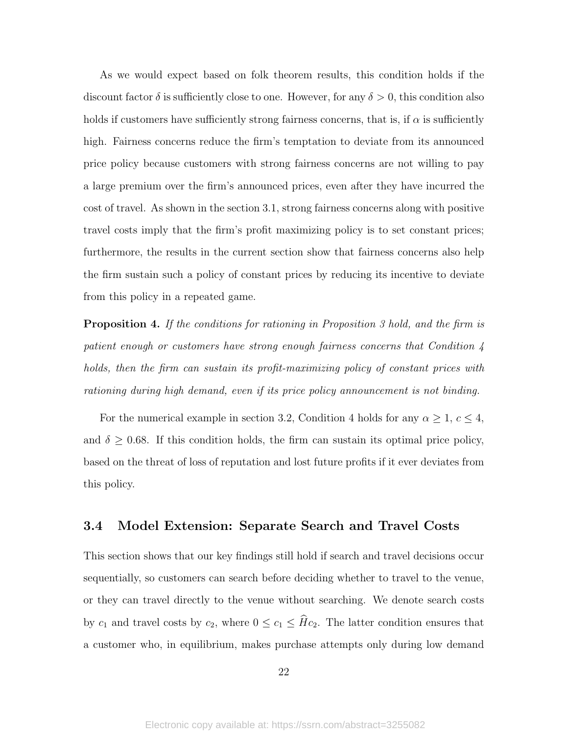As we would expect based on folk theorem results, this condition holds if the discount factor  $\delta$  is sufficiently close to one. However, for any  $\delta > 0$ , this condition also holds if customers have sufficiently strong fairness concerns, that is, if  $\alpha$  is sufficiently high. Fairness concerns reduce the firm's temptation to deviate from its announced price policy because customers with strong fairness concerns are not willing to pay a large premium over the firm's announced prices, even after they have incurred the cost of travel. As shown in the section 3.1, strong fairness concerns along with positive travel costs imply that the firm's profit maximizing policy is to set constant prices; furthermore, the results in the current section show that fairness concerns also help the firm sustain such a policy of constant prices by reducing its incentive to deviate from this policy in a repeated game.

**Proposition 4.** If the conditions for rationing in Proposition 3 hold, and the firm is patient enough or customers have strong enough fairness concerns that Condition 4 holds, then the firm can sustain its profit-maximizing policy of constant prices with rationing during high demand, even if its price policy announcement is not binding.

For the numerical example in section 3.2, Condition 4 holds for any  $\alpha \geq 1, c \leq 4$ , and  $\delta \geq 0.68$ . If this condition holds, the firm can sustain its optimal price policy, based on the threat of loss of reputation and lost future profits if it ever deviates from this policy.

#### 3.4 Model Extension: Separate Search and Travel Costs

This section shows that our key findings still hold if search and travel decisions occur sequentially, so customers can search before deciding whether to travel to the venue, or they can travel directly to the venue without searching. We denote search costs by  $c_1$  and travel costs by  $c_2$ , where  $0 \le c_1 \le \widehat{H}c_2$ . The latter condition ensures that a customer who, in equilibrium, makes purchase attempts only during low demand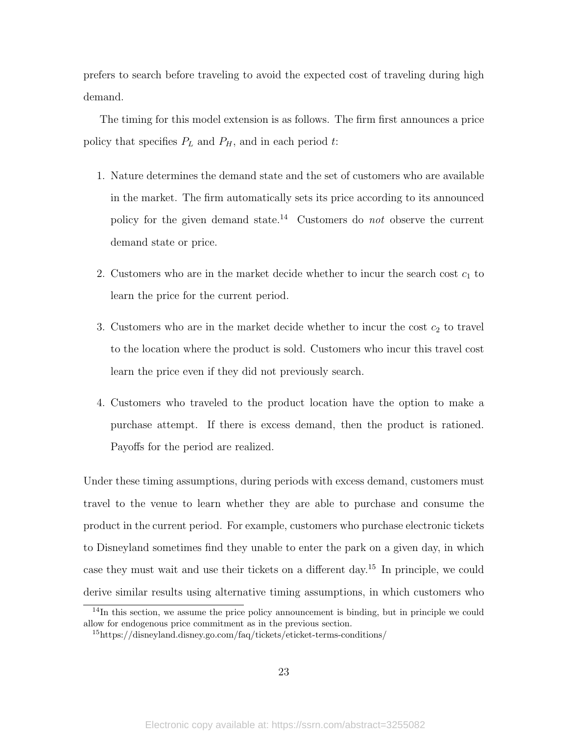prefers to search before traveling to avoid the expected cost of traveling during high demand.

The timing for this model extension is as follows. The firm first announces a price policy that specifies  $P_L$  and  $P_H$ , and in each period t:

- 1. Nature determines the demand state and the set of customers who are available in the market. The firm automatically sets its price according to its announced policy for the given demand state.<sup>14</sup> Customers do *not* observe the current demand state or price.
- 2. Customers who are in the market decide whether to incur the search cost  $c_1$  to learn the price for the current period.
- 3. Customers who are in the market decide whether to incur the cost  $c_2$  to travel to the location where the product is sold. Customers who incur this travel cost learn the price even if they did not previously search.
- 4. Customers who traveled to the product location have the option to make a purchase attempt. If there is excess demand, then the product is rationed. Payoffs for the period are realized.

Under these timing assumptions, during periods with excess demand, customers must travel to the venue to learn whether they are able to purchase and consume the product in the current period. For example, customers who purchase electronic tickets to Disneyland sometimes find they unable to enter the park on a given day, in which case they must wait and use their tickets on a different day.<sup>15</sup> In principle, we could derive similar results using alternative timing assumptions, in which customers who

 $14$ In this section, we assume the price policy announcement is binding, but in principle we could allow for endogenous price commitment as in the previous section.

<sup>15</sup>https://disneyland.disney.go.com/faq/tickets/eticket-terms-conditions/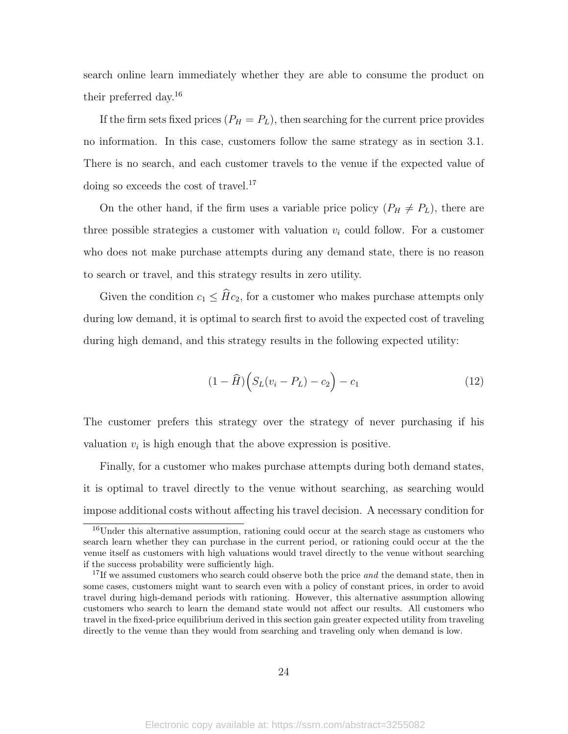search online learn immediately whether they are able to consume the product on their preferred day.<sup>16</sup>

If the firm sets fixed prices  $(P_H = P_L)$ , then searching for the current price provides no information. In this case, customers follow the same strategy as in section 3.1. There is no search, and each customer travels to the venue if the expected value of doing so exceeds the cost of travel.<sup>17</sup>

On the other hand, if the firm uses a variable price policy  $(P_H \neq P_L)$ , there are three possible strategies a customer with valuation  $v_i$  could follow. For a customer who does not make purchase attempts during any demand state, there is no reason to search or travel, and this strategy results in zero utility.

Given the condition  $c_1 \leq \widehat{H} c_2$ , for a customer who makes purchase attempts only during low demand, it is optimal to search first to avoid the expected cost of traveling during high demand, and this strategy results in the following expected utility:

$$
(1 - \widehat{H})\left(S_L(v_i - P_L) - c_2\right) - c_1\tag{12}
$$

The customer prefers this strategy over the strategy of never purchasing if his valuation  $v_i$  is high enough that the above expression is positive.

Finally, for a customer who makes purchase attempts during both demand states, it is optimal to travel directly to the venue without searching, as searching would impose additional costs without affecting his travel decision. A necessary condition for

<sup>&</sup>lt;sup>16</sup>Under this alternative assumption, rationing could occur at the search stage as customers who search learn whether they can purchase in the current period, or rationing could occur at the the venue itself as customers with high valuations would travel directly to the venue without searching if the success probability were sufficiently high.

<sup>&</sup>lt;sup>17</sup>If we assumed customers who search could observe both the price *and* the demand state, then in some cases, customers might want to search even with a policy of constant prices, in order to avoid travel during high-demand periods with rationing. However, this alternative assumption allowing customers who search to learn the demand state would not affect our results. All customers who travel in the fixed-price equilibrium derived in this section gain greater expected utility from traveling directly to the venue than they would from searching and traveling only when demand is low.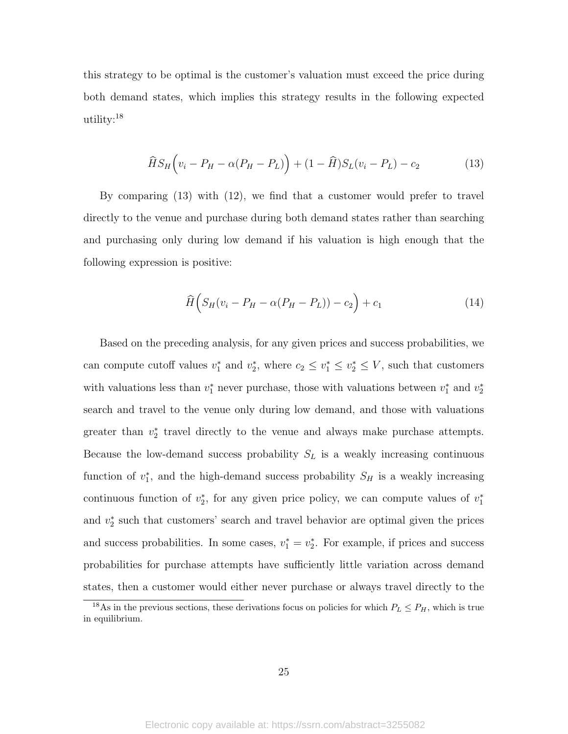this strategy to be optimal is the customer's valuation must exceed the price during both demand states, which implies this strategy results in the following expected utility:<sup>18</sup>

$$
\widehat{H}S_H(v_i - P_H - \alpha(P_H - P_L)) + (1 - \widehat{H})S_L(v_i - P_L) - c_2 \tag{13}
$$

By comparing (13) with (12), we find that a customer would prefer to travel directly to the venue and purchase during both demand states rather than searching and purchasing only during low demand if his valuation is high enough that the following expression is positive:

$$
\widehat{H}\left(S_H(v_i - P_H - \alpha(P_H - P_L)) - c_2\right) + c_1\tag{14}
$$

Based on the preceding analysis, for any given prices and success probabilities, we can compute cutoff values  $v_1^*$  and  $v_2^*$ , where  $c_2 \le v_1^* \le v_2^* \le V$ , such that customers with valuations less than  $v_1^*$  never purchase, those with valuations between  $v_1^*$  and  $v_2^*$ search and travel to the venue only during low demand, and those with valuations greater than  $v_2^*$  travel directly to the venue and always make purchase attempts. Because the low-demand success probability  $S_L$  is a weakly increasing continuous function of  $v_1^*$ , and the high-demand success probability  $S_H$  is a weakly increasing continuous function of  $v_2^*$ , for any given price policy, we can compute values of  $v_1^*$ and  $v_2^*$  such that customers' search and travel behavior are optimal given the prices and success probabilities. In some cases,  $v_1^* = v_2^*$ . For example, if prices and success probabilities for purchase attempts have sufficiently little variation across demand states, then a customer would either never purchase or always travel directly to the

<sup>&</sup>lt;sup>18</sup>As in the previous sections, these derivations focus on policies for which  $P_L \leq P_H$ , which is true in equilibrium.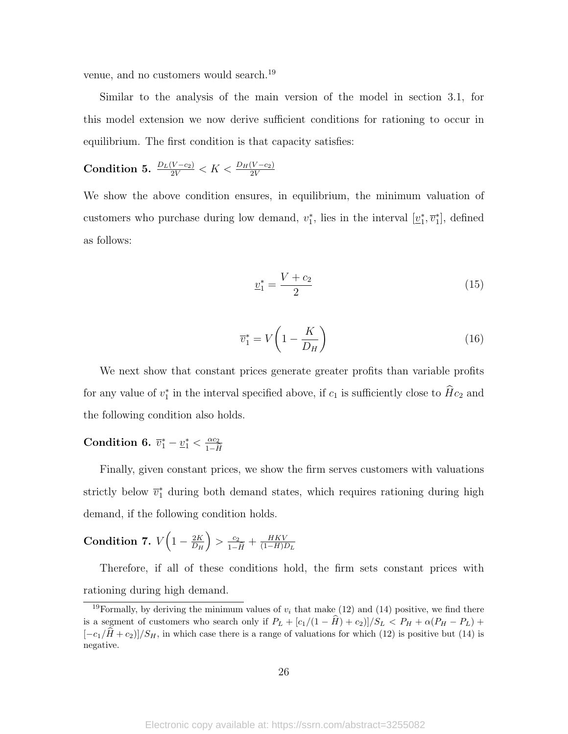venue, and no customers would search.<sup>19</sup>

Similar to the analysis of the main version of the model in section 3.1, for this model extension we now derive sufficient conditions for rationing to occur in equilibrium. The first condition is that capacity satisfies:

# Condition 5.  $\frac{D_L(V-c_2)}{2V} < K < \frac{D_H(V-c_2)}{2V}$

We show the above condition ensures, in equilibrium, the minimum valuation of customers who purchase during low demand,  $v_1^*$ , lies in the interval  $[\underline{v}_1^*, \overline{v}_1^*]$ , defined as follows:

$$
\underline{v}_1^* = \frac{V + c_2}{2} \tag{15}
$$

$$
\overline{v}_1^* = V \left( 1 - \frac{K}{D_H} \right) \tag{16}
$$

We next show that constant prices generate greater profits than variable profits for any value of  $v_1^*$  in the interval specified above, if  $c_1$  is sufficiently close to  $\hat{H}c_2$  and the following condition also holds.

#### Condition 6.  $\overline{v}_1^* - \underline{v}_1^* < \frac{\alpha c_2}{1-\tilde{k}}$  $1-H$

Finally, given constant prices, we show the firm serves customers with valuations strictly below  $\bar{v}_1^*$  during both demand states, which requires rationing during high demand, if the following condition holds.

#### Condition 7.  $V\left(1-\frac{2K}{D_H}\right)$  $D_H$  $\left.\frac{c_2}{1-\hat{H}}+\frac{HKV}{(1-H)H}\right\}$  $(1-H)D_L$

Therefore, if all of these conditions hold, the firm sets constant prices with rationing during high demand.

<sup>&</sup>lt;sup>19</sup>Formally, by deriving the minimum values of  $v_i$  that make (12) and (14) positive, we find there is a segment of customers who search only if  $P_L + [c_1/(1 - \hat{H}) + c_2)]/S_L < P_H + \alpha(P_H - P_L) +$  $[-c_1/H + c_2]/S_H$ , in which case there is a range of valuations for which (12) is positive but (14) is negative.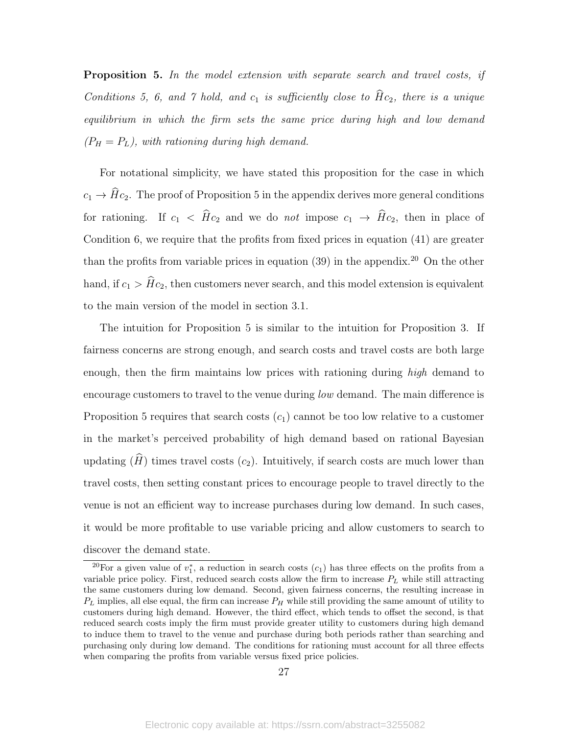**Proposition 5.** In the model extension with separate search and travel costs, if Conditions 5, 6, and 7 hold, and  $c_1$  is sufficiently close to  $\widehat{H}c_2$ , there is a unique equilibrium in which the firm sets the same price during high and low demand  $(P_H = P_L)$ , with rationing during high demand.

For notational simplicity, we have stated this proposition for the case in which  $c_1 \rightarrow \widehat{H}c_2$ . The proof of Proposition 5 in the appendix derives more general conditions for rationing. If  $c_1 < \widehat{H}c_2$  and we do not impose  $c_1 \rightarrow \widehat{H}c_2$ , then in place of Condition 6, we require that the profits from fixed prices in equation (41) are greater than the profits from variable prices in equation (39) in the appendix.<sup>20</sup> On the other hand, if  $c_1 > \widehat{H}c_2$ , then customers never search, and this model extension is equivalent to the main version of the model in section 3.1.

The intuition for Proposition 5 is similar to the intuition for Proposition 3. If fairness concerns are strong enough, and search costs and travel costs are both large enough, then the firm maintains low prices with rationing during *high* demand to encourage customers to travel to the venue during low demand. The main difference is Proposition 5 requires that search costs  $(c_1)$  cannot be too low relative to a customer in the market's perceived probability of high demand based on rational Bayesian updating  $(\widehat{H})$  times travel costs  $(c_2)$ . Intuitively, if search costs are much lower than travel costs, then setting constant prices to encourage people to travel directly to the venue is not an efficient way to increase purchases during low demand. In such cases, it would be more profitable to use variable pricing and allow customers to search to discover the demand state.

<sup>&</sup>lt;sup>20</sup>For a given value of  $v_1^*$ , a reduction in search costs  $(c_1)$  has three effects on the profits from a variable price policy. First, reduced search costs allow the firm to increase  $P_L$  while still attracting the same customers during low demand. Second, given fairness concerns, the resulting increase in  $P_L$  implies, all else equal, the firm can increase  $P_H$  while still providing the same amount of utility to customers during high demand. However, the third effect, which tends to offset the second, is that reduced search costs imply the firm must provide greater utility to customers during high demand to induce them to travel to the venue and purchase during both periods rather than searching and purchasing only during low demand. The conditions for rationing must account for all three effects when comparing the profits from variable versus fixed price policies.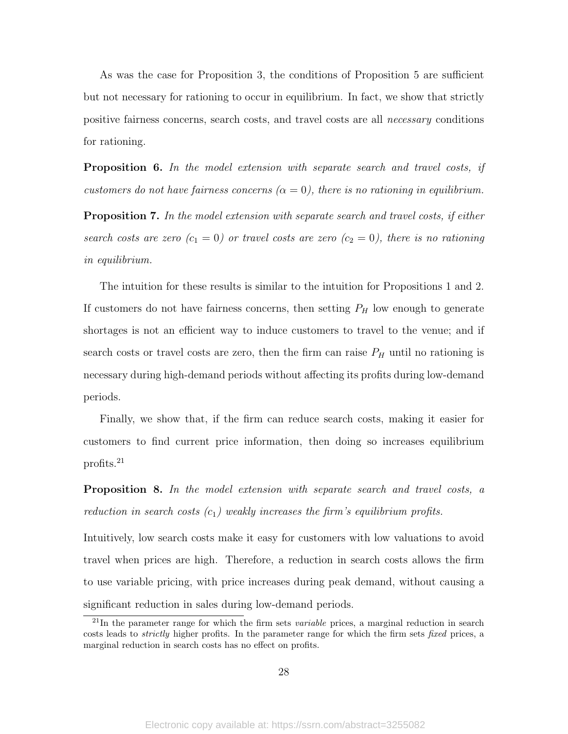As was the case for Proposition 3, the conditions of Proposition 5 are sufficient but not necessary for rationing to occur in equilibrium. In fact, we show that strictly positive fairness concerns, search costs, and travel costs are all necessary conditions for rationing.

**Proposition 6.** In the model extension with separate search and travel costs, if customers do not have fairness concerns  $(\alpha = 0)$ , there is no rationing in equilibrium.

**Proposition 7.** In the model extension with separate search and travel costs, if either search costs are zero  $(c_1 = 0)$  or travel costs are zero  $(c_2 = 0)$ , there is no rationing in equilibrium.

The intuition for these results is similar to the intuition for Propositions 1 and 2. If customers do not have fairness concerns, then setting  $P_H$  low enough to generate shortages is not an efficient way to induce customers to travel to the venue; and if search costs or travel costs are zero, then the firm can raise  $P_H$  until no rationing is necessary during high-demand periods without affecting its profits during low-demand periods.

Finally, we show that, if the firm can reduce search costs, making it easier for customers to find current price information, then doing so increases equilibrium profits.<sup>21</sup>

Proposition 8. In the model extension with separate search and travel costs, a reduction in search costs  $(c_1)$  weakly increases the firm's equilibrium profits.

Intuitively, low search costs make it easy for customers with low valuations to avoid travel when prices are high. Therefore, a reduction in search costs allows the firm to use variable pricing, with price increases during peak demand, without causing a significant reduction in sales during low-demand periods.

 $^{21}$ In the parameter range for which the firm sets *variable* prices, a marginal reduction in search costs leads to strictly higher profits. In the parameter range for which the firm sets fixed prices, a marginal reduction in search costs has no effect on profits.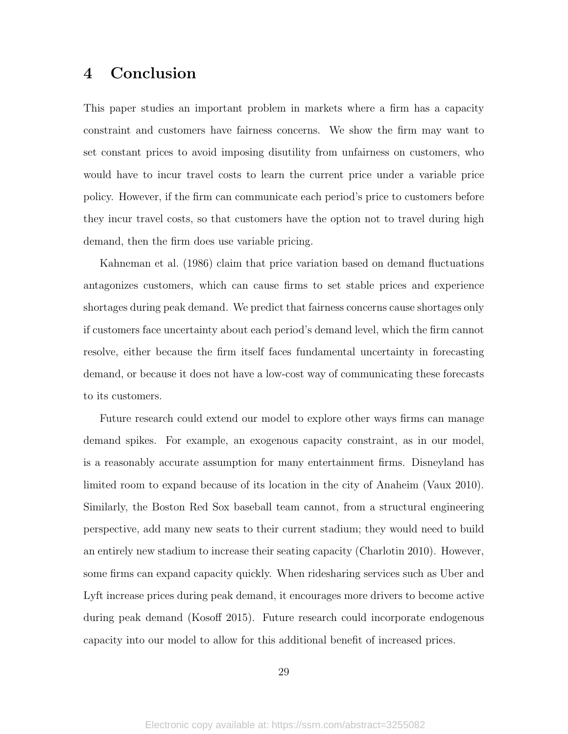### 4 Conclusion

This paper studies an important problem in markets where a firm has a capacity constraint and customers have fairness concerns. We show the firm may want to set constant prices to avoid imposing disutility from unfairness on customers, who would have to incur travel costs to learn the current price under a variable price policy. However, if the firm can communicate each period's price to customers before they incur travel costs, so that customers have the option not to travel during high demand, then the firm does use variable pricing.

Kahneman et al. (1986) claim that price variation based on demand fluctuations antagonizes customers, which can cause firms to set stable prices and experience shortages during peak demand. We predict that fairness concerns cause shortages only if customers face uncertainty about each period's demand level, which the firm cannot resolve, either because the firm itself faces fundamental uncertainty in forecasting demand, or because it does not have a low-cost way of communicating these forecasts to its customers.

Future research could extend our model to explore other ways firms can manage demand spikes. For example, an exogenous capacity constraint, as in our model, is a reasonably accurate assumption for many entertainment firms. Disneyland has limited room to expand because of its location in the city of Anaheim (Vaux 2010). Similarly, the Boston Red Sox baseball team cannot, from a structural engineering perspective, add many new seats to their current stadium; they would need to build an entirely new stadium to increase their seating capacity (Charlotin 2010). However, some firms can expand capacity quickly. When ridesharing services such as Uber and Lyft increase prices during peak demand, it encourages more drivers to become active during peak demand (Kosoff 2015). Future research could incorporate endogenous capacity into our model to allow for this additional benefit of increased prices.

29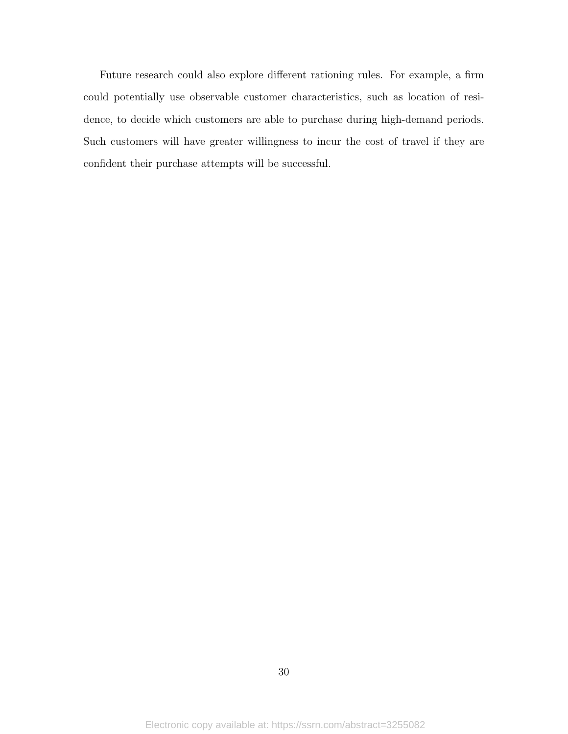Future research could also explore different rationing rules. For example, a firm could potentially use observable customer characteristics, such as location of residence, to decide which customers are able to purchase during high-demand periods. Such customers will have greater willingness to incur the cost of travel if they are confident their purchase attempts will be successful.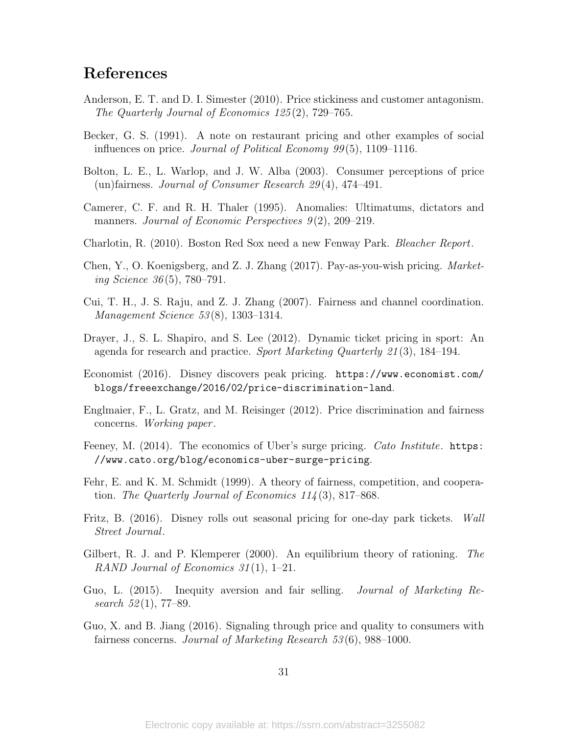### References

- Anderson, E. T. and D. I. Simester (2010). Price stickiness and customer antagonism. The Quarterly Journal of Economics 125 (2), 729–765.
- Becker, G. S. (1991). A note on restaurant pricing and other examples of social influences on price. Journal of Political Economy 99 (5), 1109–1116.
- Bolton, L. E., L. Warlop, and J. W. Alba (2003). Consumer perceptions of price (un)fairness. Journal of Consumer Research  $29(4)$ , 474–491.
- Camerer, C. F. and R. H. Thaler (1995). Anomalies: Ultimatums, dictators and manners. Journal of Economic Perspectives  $9(2)$ , 209–219.
- Charlotin, R. (2010). Boston Red Sox need a new Fenway Park. Bleacher Report.
- Chen, Y., O. Koenigsberg, and Z. J. Zhang (2017). Pay-as-you-wish pricing. Marketing Science 36 (5), 780–791.
- Cui, T. H., J. S. Raju, and Z. J. Zhang (2007). Fairness and channel coordination. Management Science 53 (8), 1303–1314.
- Drayer, J., S. L. Shapiro, and S. Lee (2012). Dynamic ticket pricing in sport: An agenda for research and practice. Sport Marketing Quarterly 21 (3), 184–194.
- Economist (2016). Disney discovers peak pricing. https://www.economist.com/ blogs/freeexchange/2016/02/price-discrimination-land.
- Englmaier, F., L. Gratz, and M. Reisinger (2012). Price discrimination and fairness concerns. Working paper .
- Feeney, M. (2014). The economics of Uber's surge pricing. Cato Institute. https: //www.cato.org/blog/economics-uber-surge-pricing.
- Fehr, E. and K. M. Schmidt (1999). A theory of fairness, competition, and cooperation. The Quarterly Journal of Economics  $114(3)$ , 817–868.
- Fritz, B. (2016). Disney rolls out seasonal pricing for one-day park tickets. Wall Street Journal.
- Gilbert, R. J. and P. Klemperer (2000). An equilibrium theory of rationing. The RAND Journal of Economics 31 (1), 1–21.
- Guo, L. (2015). Inequity aversion and fair selling. *Journal of Marketing Re*search  $52(1)$ , 77–89.
- Guo, X. and B. Jiang (2016). Signaling through price and quality to consumers with fairness concerns. Journal of Marketing Research 53 (6), 988–1000.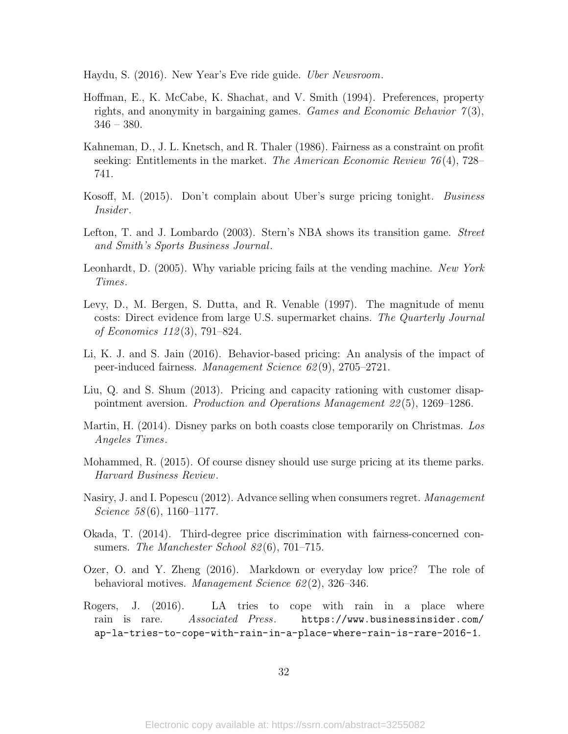Haydu, S. (2016). New Year's Eve ride guide. Uber Newsroom.

- Hoffman, E., K. McCabe, K. Shachat, and V. Smith (1994). Preferences, property rights, and anonymity in bargaining games. Games and Economic Behavior  $\gamma(3)$ , 346 – 380.
- Kahneman, D., J. L. Knetsch, and R. Thaler (1986). Fairness as a constraint on profit seeking: Entitlements in the market. The American Economic Review  $\mathcal{76}(4)$ , 728– 741.
- Kosoff, M. (2015). Don't complain about Uber's surge pricing tonight. Business Insider .
- Lefton, T. and J. Lombardo (2003). Stern's NBA shows its transition game. Street and Smith's Sports Business Journal.
- Leonhardt, D. (2005). Why variable pricing fails at the vending machine. New York Times.
- Levy, D., M. Bergen, S. Dutta, and R. Venable (1997). The magnitude of menu costs: Direct evidence from large U.S. supermarket chains. The Quarterly Journal of Economics 112 (3), 791–824.
- Li, K. J. and S. Jain (2016). Behavior-based pricing: An analysis of the impact of peer-induced fairness. Management Science 62 (9), 2705–2721.
- Liu, Q. and S. Shum (2013). Pricing and capacity rationing with customer disappointment aversion. Production and Operations Management 22 (5), 1269–1286.
- Martin, H. (2014). Disney parks on both coasts close temporarily on Christmas. Los Angeles Times.
- Mohammed, R. (2015). Of course disney should use surge pricing at its theme parks. Harvard Business Review.
- Nasiry, J. and I. Popescu (2012). Advance selling when consumers regret. Management Science  $58(6)$ , 1160–1177.
- Okada, T. (2014). Third-degree price discrimination with fairness-concerned consumers. *The Manchester School 82*(6), 701–715.
- Ozer, O. and Y. Zheng (2016). Markdown or everyday low price? The role of behavioral motives. Management Science 62 (2), 326–346.
- Rogers, J. (2016). LA tries to cope with rain in a place where rain is rare. Associated Press. https://www.businessinsider.com/ ap-la-tries-to-cope-with-rain-in-a-place-where-rain-is-rare-2016-1.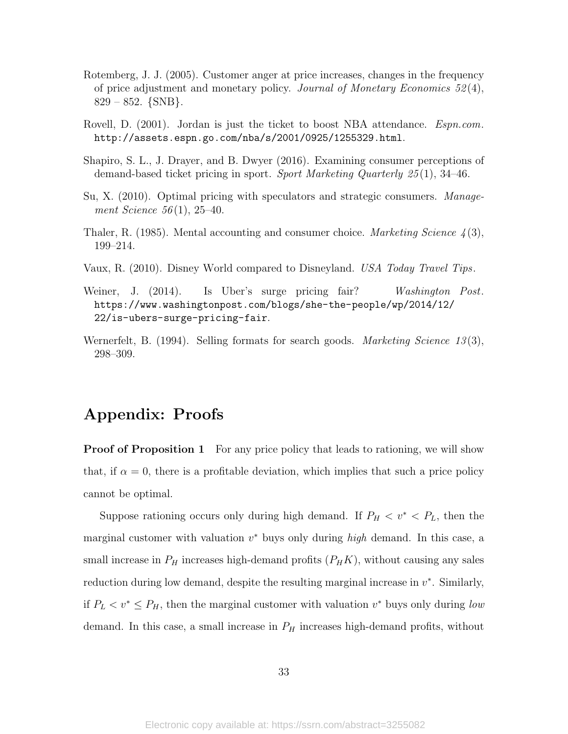- Rotemberg, J. J. (2005). Customer anger at price increases, changes in the frequency of price adjustment and monetary policy. Journal of Monetary Economics  $52(4)$ ,  $829 - 852.$  {SNB}.
- Rovell, D. (2001). Jordan is just the ticket to boost NBA attendance. *Espn.com*. http://assets.espn.go.com/nba/s/2001/0925/1255329.html.
- Shapiro, S. L., J. Drayer, and B. Dwyer (2016). Examining consumer perceptions of demand-based ticket pricing in sport. Sport Marketing Quarterly 25 (1), 34–46.
- Su, X. (2010). Optimal pricing with speculators and strategic consumers. Management Science  $56(1)$ , 25-40.
- Thaler, R. (1985). Mental accounting and consumer choice. *Marketing Science*  $\lambda(3)$ , 199–214.
- Vaux, R. (2010). Disney World compared to Disneyland. USA Today Travel Tips.
- Weiner, J. (2014). Is Uber's surge pricing fair? Washington Post. https://www.washingtonpost.com/blogs/she-the-people/wp/2014/12/ 22/is-ubers-surge-pricing-fair.
- Wernerfelt, B. (1994). Selling formats for search goods. *Marketing Science 13*(3), 298–309.

### Appendix: Proofs

**Proof of Proposition 1** For any price policy that leads to rationing, we will show that, if  $\alpha = 0$ , there is a profitable deviation, which implies that such a price policy cannot be optimal.

Suppose rationing occurs only during high demand. If  $P_H < v^* < P_L$ , then the marginal customer with valuation  $v^*$  buys only during *high* demand. In this case, a small increase in  $P_H$  increases high-demand profits  $(P_H K)$ , without causing any sales reduction during low demand, despite the resulting marginal increase in  $v^*$ . Similarly, if  $P_L < v^* \le P_H$ , then the marginal customer with valuation  $v^*$  buys only during low demand. In this case, a small increase in  $P_H$  increases high-demand profits, without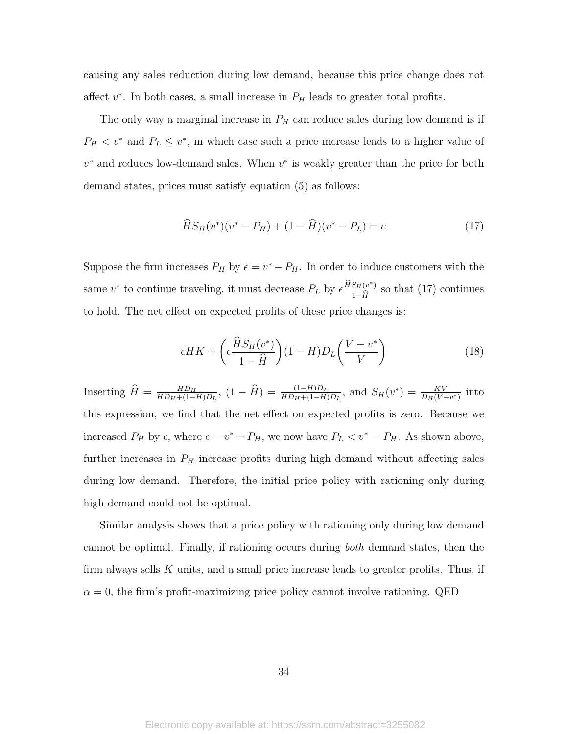causing any sales reduction during low demand, because this price change does not affect  $v^*$ . In both cases, a small increase in  $P_H$  leads to greater total profits.

The only way a marginal increase in  $P_H$  can reduce sales during low demand is if  $P_H < v^*$  and  $P_L \le v^*$ , in which case such a price increase leads to a higher value of  $v^*$  and reduces low-demand sales. When  $v^*$  is weakly greater than the price for both demand states, prices must satisfy equation (5) as follows:

$$
\widehat{H}S_H(v^*)(v^* - P_H) + (1 - \widehat{H})(v^* - P_L) = c \tag{17}
$$

Suppose the firm increases  $P_H$  by  $\epsilon = v^* - P_H$ . In order to induce customers with the same  $v^*$  to continue traveling, it must decrease  $P_L$  by  $\epsilon \frac{\hat{H} S_H(v^*)}{1-\hat{H}}$  $1-H$ so that (17) continues to hold. The net effect on expected profits of these price changes is:

$$
\epsilon HK + \left(\epsilon \frac{\hat{H}S_H(v^*)}{1 - \hat{H}}\right)(1 - H)D_L\left(\frac{V - v^*}{V}\right) \tag{18}
$$

Inserting  $\widehat{H} = \frac{HD_H}{HD_H + (1 - 1)}$  $\frac{HD_H}{HD_H+(1-H)D_L}$ ,  $(1-\hat{H}) = \frac{(1-H)D_L}{HD_H+(1-H)D_L}$ , and  $S_H(v^*) = \frac{KV}{D_H(V-v^*)}$  into this expression, we find that the net effect on expected profits is zero. Because we increased  $P_H$  by  $\epsilon$ , where  $\epsilon = v^* - P_H$ , we now have  $P_L < v^* = P_H$ . As shown above, further increases in  $P_H$  increase profits during high demand without affecting sales during low demand. Therefore, the initial price policy with rationing only during high demand could not be optimal.

Similar analysis shows that a price policy with rationing only during low demand cannot be optimal. Finally, if rationing occurs during both demand states, then the firm always sells  $K$  units, and a small price increase leads to greater profits. Thus, if  $\alpha = 0$ , the firm's profit-maximizing price policy cannot involve rationing. QED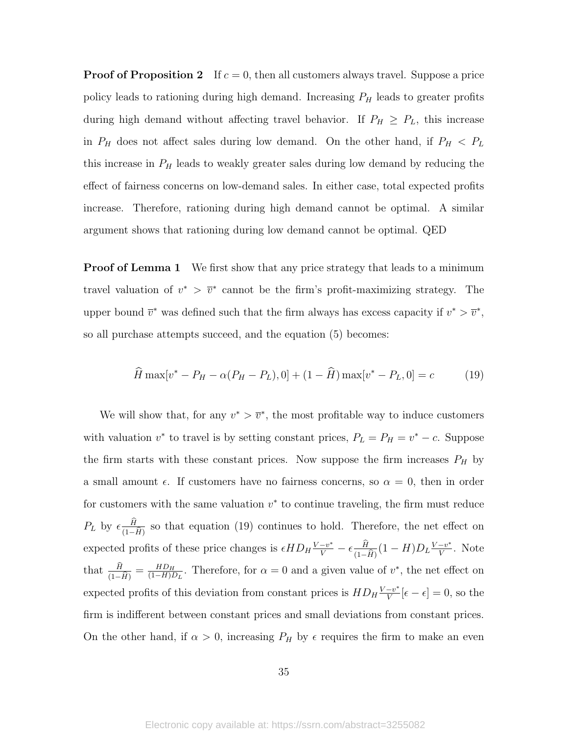**Proof of Proposition 2** If  $c = 0$ , then all customers always travel. Suppose a price policy leads to rationing during high demand. Increasing  $P_H$  leads to greater profits during high demand without affecting travel behavior. If  $P_H \ge P_L$ , this increase in  $P_H$  does not affect sales during low demand. On the other hand, if  $P_H < P_L$ this increase in  $P_H$  leads to weakly greater sales during low demand by reducing the effect of fairness concerns on low-demand sales. In either case, total expected profits increase. Therefore, rationing during high demand cannot be optimal. A similar argument shows that rationing during low demand cannot be optimal. QED

**Proof of Lemma 1** We first show that any price strategy that leads to a minimum travel valuation of  $v^* > \bar{v}^*$  cannot be the firm's profit-maximizing strategy. The upper bound  $\overline{v}^*$  was defined such that the firm always has excess capacity if  $v^* > \overline{v}^*$ , so all purchase attempts succeed, and the equation (5) becomes:

$$
\widehat{H} \max[v^* - P_H - \alpha(P_H - P_L), 0] + (1 - \widehat{H}) \max[v^* - P_L, 0] = c \tag{19}
$$

We will show that, for any  $v^* > \overline{v}^*$ , the most profitable way to induce customers with valuation  $v^*$  to travel is by setting constant prices,  $P_L = P_H = v^* - c$ . Suppose the firm starts with these constant prices. Now suppose the firm increases  $P_H$  by a small amount  $\epsilon$ . If customers have no fairness concerns, so  $\alpha = 0$ , then in order for customers with the same valuation  $v^*$  to continue traveling, the firm must reduce  $P_L$  by  $\epsilon \frac{H}{U_1}$  $(1–H)$ so that equation (19) continues to hold. Therefore, the net effect on expected profits of these price changes is  $\epsilon H D_H \frac{V - v^*}{V} - \epsilon \frac{\hat{H}}{(1 - \hat{H})^2}$  $\frac{\widehat{H}}{(1-\widehat{H})}(1-H)D_{L}\frac{V-v^{*}}{V}$  $\frac{-v^*}{V}$ . Note that  $\frac{H}{U}$  $(1–H)$  $=\frac{HD_H}{(1-H)H}$  $\frac{HD_H}{(1-H)D_L}$ . Therefore, for  $\alpha = 0$  and a given value of  $v^*$ , the net effect on expected profits of this deviation from constant prices is  $HD_H \frac{V - v^*}{V}$  $\frac{-v^*}{V}[\epsilon - \epsilon] = 0$ , so the firm is indifferent between constant prices and small deviations from constant prices. On the other hand, if  $\alpha > 0$ , increasing  $P_H$  by  $\epsilon$  requires the firm to make an even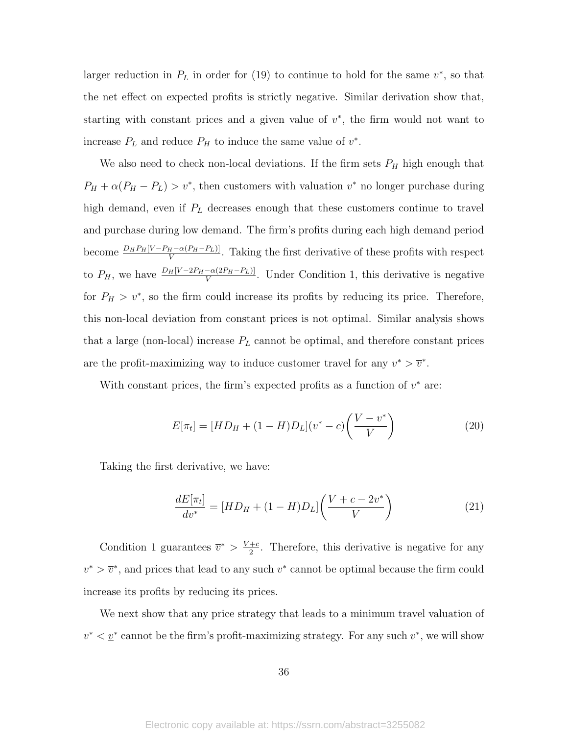larger reduction in  $P_L$  in order for (19) to continue to hold for the same  $v^*$ , so that the net effect on expected profits is strictly negative. Similar derivation show that, starting with constant prices and a given value of  $v^*$ , the firm would not want to increase  $P_L$  and reduce  $P_H$  to induce the same value of  $v^*$ .

We also need to check non-local deviations. If the firm sets  $P_H$  high enough that  $P_H + \alpha (P_H - P_L) > v^*$ , then customers with valuation  $v^*$  no longer purchase during high demand, even if  $P_L$  decreases enough that these customers continue to travel and purchase during low demand. The firm's profits during each high demand period become  $\frac{D_H P_H [V - P_H - \alpha (P_H - P_L)]}{V}$ . Taking the first derivative of these profits with respect to  $P_H$ , we have  $\frac{D_H[V-2P_H-\alpha(2P_H-P_L)]}{V}$ . Under Condition 1, this derivative is negative for  $P_H > v^*$ , so the firm could increase its profits by reducing its price. Therefore, this non-local deviation from constant prices is not optimal. Similar analysis shows that a large (non-local) increase  $P<sub>L</sub>$  cannot be optimal, and therefore constant prices are the profit-maximizing way to induce customer travel for any  $v^* > \overline{v}^*$ .

With constant prices, the firm's expected profits as a function of  $v^*$  are:

$$
E[\pi_t] = [HD_H + (1 - H)D_L](v^* - c)\left(\frac{V - v^*}{V}\right)
$$
\n(20)

Taking the first derivative, we have:

$$
\frac{dE[\pi_t]}{dv^*} = [HD_H + (1 - H)D_L] \left( \frac{V + c - 2v^*}{V} \right)
$$
\n(21)

Condition 1 guarantees  $\overline{v}^* > \frac{V+c}{2}$  $\frac{+c}{2}$ . Therefore, this derivative is negative for any  $v^* > \overline{v}^*$ , and prices that lead to any such  $v^*$  cannot be optimal because the firm could increase its profits by reducing its prices.

We next show that any price strategy that leads to a minimum travel valuation of  $v^* < \underline{v}^*$  cannot be the firm's profit-maximizing strategy. For any such  $v^*$ , we will show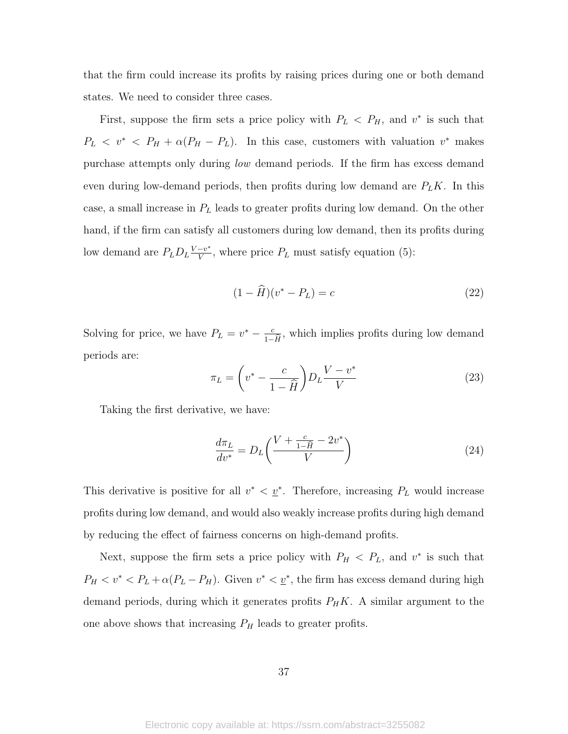that the firm could increase its profits by raising prices during one or both demand states. We need to consider three cases.

First, suppose the firm sets a price policy with  $P_L < P_H$ , and  $v^*$  is such that  $P_L < v^* < P_H + \alpha (P_H - P_L)$ . In this case, customers with valuation  $v^*$  makes purchase attempts only during low demand periods. If the firm has excess demand even during low-demand periods, then profits during low demand are  $P_L K$ . In this case, a small increase in  $P<sub>L</sub>$  leads to greater profits during low demand. On the other hand, if the firm can satisfy all customers during low demand, then its profits during low demand are  $P_L D_L \frac{V - v^*}{V}$  $\frac{-v^*}{V}$ , where price  $P_L$  must satisfy equation (5):

$$
(1 - \hat{H})(v^* - P_L) = c \tag{22}
$$

Solving for price, we have  $P_L = v^* - \frac{c}{1}$  $1-H$ , which implies profits during low demand periods are:

$$
\pi_L = \left(v^* - \frac{c}{1 - \widehat{H}}\right) D_L \frac{V - v^*}{V} \tag{23}
$$

Taking the first derivative, we have:

$$
\frac{d\pi_L}{dv^*} = D_L \left( \frac{V + \frac{c}{1 - \hat{H}} - 2v^*}{V} \right) \tag{24}
$$

This derivative is positive for all  $v^* < v^*$ . Therefore, increasing  $P_L$  would increase profits during low demand, and would also weakly increase profits during high demand by reducing the effect of fairness concerns on high-demand profits.

Next, suppose the firm sets a price policy with  $P_H < P_L$ , and  $v^*$  is such that  $P_H < v^* < P_L + \alpha (P_L - P_H)$ . Given  $v^* < v^*$ , the firm has excess demand during high demand periods, during which it generates profits  $P_HK$ . A similar argument to the one above shows that increasing  $P_H$  leads to greater profits.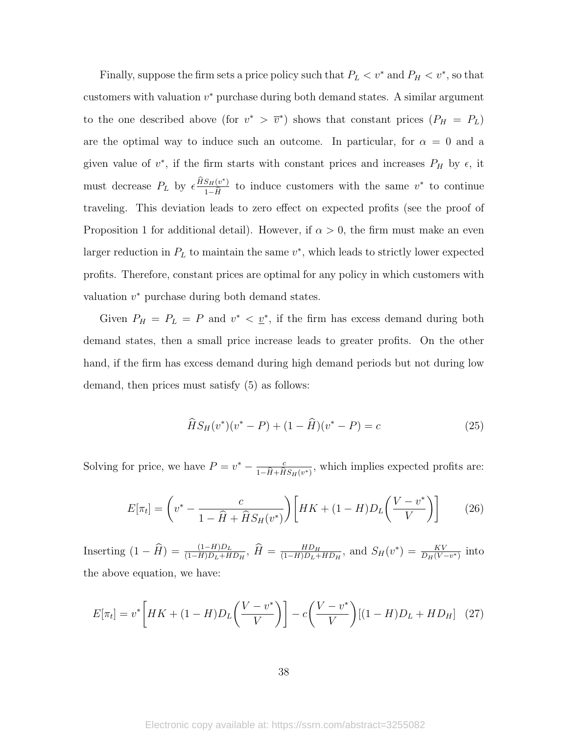Finally, suppose the firm sets a price policy such that  $P_L < v^*$  and  $P_H < v^*$ , so that customers with valuation  $v^*$  purchase during both demand states. A similar argument to the one described above (for  $v^* > \overline{v}^*$ ) shows that constant prices  $(P_H = P_L)$ are the optimal way to induce such an outcome. In particular, for  $\alpha = 0$  and a given value of  $v^*$ , if the firm starts with constant prices and increases  $P_H$  by  $\epsilon$ , it must decrease  $P_L$  by  $\epsilon \frac{\hat{H} S_H(v^*)}{1-\hat{H}}$  $1-H$ to induce customers with the same  $v^*$  to continue traveling. This deviation leads to zero effect on expected profits (see the proof of Proposition 1 for additional detail). However, if  $\alpha > 0$ , the firm must make an even larger reduction in  $P_L$  to maintain the same  $v^*$ , which leads to strictly lower expected profits. Therefore, constant prices are optimal for any policy in which customers with valuation  $v^*$  purchase during both demand states.

Given  $P_H = P_L = P$  and  $v^* < v^*$ , if the firm has excess demand during both demand states, then a small price increase leads to greater profits. On the other hand, if the firm has excess demand during high demand periods but not during low demand, then prices must satisfy (5) as follows:

$$
\widehat{H}S_H(v^*)(v^*-P) + (1-\widehat{H})(v^*-P) = c \tag{25}
$$

Solving for price, we have  $P = v^* - \frac{c}{1 - \hat{B} + \hat{B}}$  $\frac{c}{1-\widehat{H}+\widehat{H}S_H(v^*)}$ , which implies expected profits are:

$$
E[\pi_t] = \left(v^* - \frac{c}{1 - \widehat{H} + \widehat{H}S_H(v^*)}\right) \left[HK + (1 - H)D_L\left(\frac{V - v^*}{V}\right)\right] \tag{26}
$$

Inserting  $(1 - \hat{H}) = \frac{(1-H)D_L}{(1-H)D_L + HD_H}, \hat{H} = \frac{HD_H}{(1-H)D_L + H_H}$  $\frac{HD_H}{(1-H)D_L+HD_H}$ , and  $S_H(v^*) = \frac{KV}{D_H(V-v^*)}$  into the above equation, we have:

$$
E[\pi_t] = v^* \left[ HK + (1 - H) D_L \left( \frac{V - v^*}{V} \right) \right] - c \left( \frac{V - v^*}{V} \right) [(1 - H) D_L + HD_H] \tag{27}
$$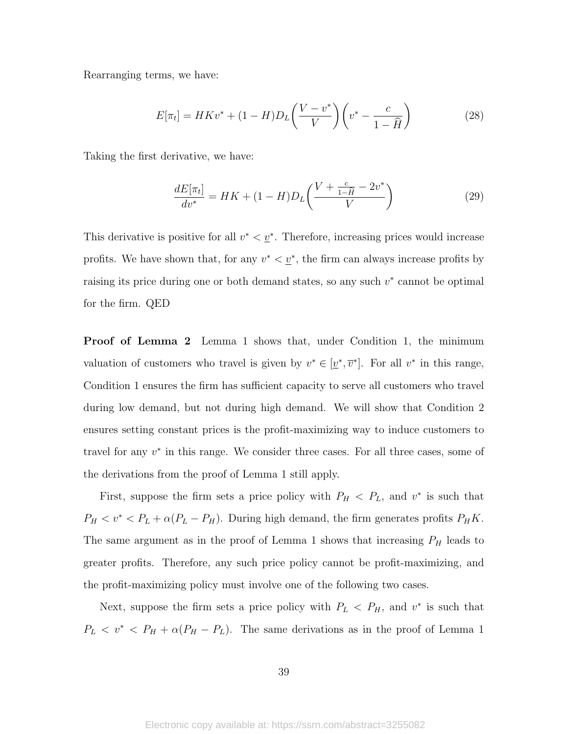Rearranging terms, we have:

$$
E[\pi_t] = HKv^* + (1 - H)D_L\left(\frac{V - v^*}{V}\right)\left(v^* - \frac{c}{1 - \widehat{H}}\right)
$$
 (28)

Taking the first derivative, we have:

$$
\frac{dE[\pi_t]}{dv^*} = HK + (1 - H)D_L\left(\frac{V + \frac{c}{1 - \hat{H}} - 2v^*}{V}\right) \tag{29}
$$

This derivative is positive for all  $v^* < \underline{v}^*$ . Therefore, increasing prices would increase profits. We have shown that, for any  $v^* < u^*$ , the firm can always increase profits by raising its price during one or both demand states, so any such  $v^*$  cannot be optimal for the firm. QED

**Proof of Lemma 2** Lemma 1 shows that, under Condition 1, the minimum valuation of customers who travel is given by  $v^* \in [\underline{v}^*, \overline{v}^*]$ . For all  $v^*$  in this range, Condition 1 ensures the firm has sufficient capacity to serve all customers who travel during low demand, but not during high demand. We will show that Condition 2 ensures setting constant prices is the profit-maximizing way to induce customers to travel for any  $v^*$  in this range. We consider three cases. For all three cases, some of the derivations from the proof of Lemma 1 still apply.

First, suppose the firm sets a price policy with  $P_H < P_L$ , and  $v^*$  is such that  $P_H < v^* < P_L + \alpha (P_L - P_H)$ . During high demand, the firm generates profits  $P_H K$ . The same argument as in the proof of Lemma 1 shows that increasing  $P_H$  leads to greater profits. Therefore, any such price policy cannot be profit-maximizing, and the profit-maximizing policy must involve one of the following two cases.

Next, suppose the firm sets a price policy with  $P_L < P_H$ , and  $v^*$  is such that  $P_L < v^* < P_H + \alpha (P_H - P_L)$ . The same derivations as in the proof of Lemma 1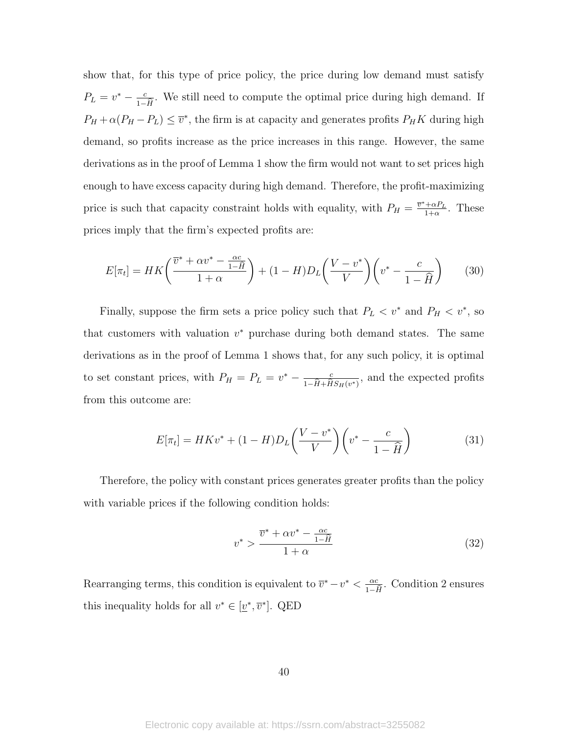show that, for this type of price policy, the price during low demand must satisfy  $P_L = v^* - \frac{c}{1}$  $1-H$ . We still need to compute the optimal price during high demand. If  $P_H + \alpha (P_H - P_L) \leq \overline{v}^*$ , the firm is at capacity and generates profits  $P_H K$  during high demand, so profits increase as the price increases in this range. However, the same derivations as in the proof of Lemma 1 show the firm would not want to set prices high enough to have excess capacity during high demand. Therefore, the profit-maximizing price is such that capacity constraint holds with equality, with  $P_H = \frac{\bar{v}^* + \alpha P_L}{1 + \alpha}$  $\frac{+\alpha P_L}{1+\alpha}$ . These prices imply that the firm's expected profits are:

$$
E[\pi_t] = HK\left(\frac{\overline{v}^* + \alpha v^* - \frac{\alpha c}{1 - \tilde{H}}}{1 + \alpha}\right) + (1 - H)D_L\left(\frac{V - v^*}{V}\right)\left(v^* - \frac{c}{1 - \tilde{H}}\right) \tag{30}
$$

Finally, suppose the firm sets a price policy such that  $P_L < v^*$  and  $P_H < v^*$ , so that customers with valuation  $v^*$  purchase during both demand states. The same derivations as in the proof of Lemma 1 shows that, for any such policy, it is optimal to set constant prices, with  $P_H = P_L = v^* - \frac{c}{1 - \hat{H} + \hat{H}}$  $\frac{c}{1-\widehat{H}+\widehat{H}S_H(v^*)}$ , and the expected profits from this outcome are:

$$
E[\pi_t] = HKv^* + (1 - H)D_L\left(\frac{V - v^*}{V}\right)\left(v^* - \frac{c}{1 - \widehat{H}}\right)
$$
(31)

Therefore, the policy with constant prices generates greater profits than the policy with variable prices if the following condition holds:

$$
v^* > \frac{\overline{v}^* + \alpha v^* - \frac{\alpha c}{1 - \widehat{H}}}{1 + \alpha} \tag{32}
$$

Rearranging terms, this condition is equivalent to  $\overline{v}^* - v^* < \frac{\alpha c}{1-\beta}$  $1-H$ . Condition 2 ensures this inequality holds for all  $v^* \in [\underline{v}^*, \overline{v}^*]$ . QED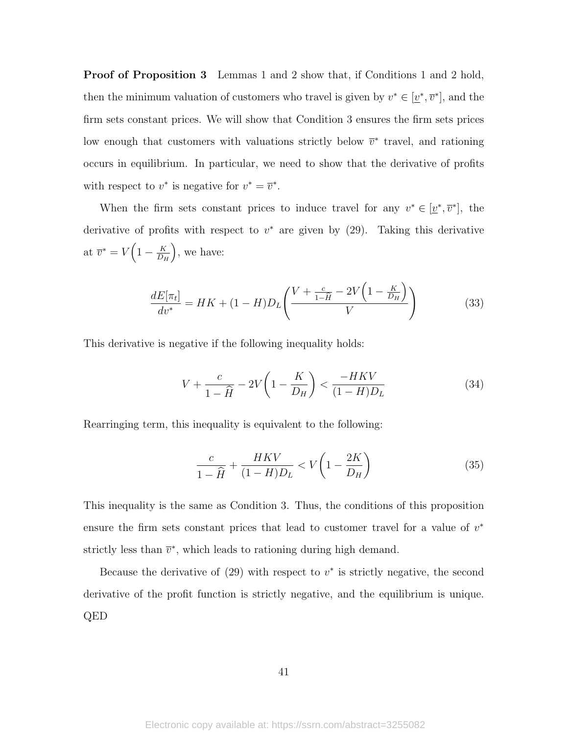**Proof of Proposition 3** Lemmas 1 and 2 show that, if Conditions 1 and 2 hold, then the minimum valuation of customers who travel is given by  $v^* \in [\underline{v}^*, \overline{v}^*]$ , and the firm sets constant prices. We will show that Condition 3 ensures the firm sets prices low enough that customers with valuations strictly below  $\bar{v}^*$  travel, and rationing occurs in equilibrium. In particular, we need to show that the derivative of profits with respect to  $v^*$  is negative for  $v^* = \overline{v}^*$ .

When the firm sets constant prices to induce travel for any  $v^* \in [\underline{v}^*, \overline{v}^*]$ , the derivative of profits with respect to  $v^*$  are given by (29). Taking this derivative at  $\overline{v}^* = V \left( 1 - \frac{K}{D_t} \right)$  $D_H$ , we have:

$$
\frac{dE[\pi_t]}{dv^*} = HK + (1 - H)D_L\left(\frac{V + \frac{c}{1 - \hat{H}} - 2V\left(1 - \frac{K}{D_H}\right)}{V}\right) \tag{33}
$$

This derivative is negative if the following inequality holds:

$$
V + \frac{c}{1 - \widehat{H}} - 2V\left(1 - \frac{K}{D_H}\right) < \frac{-HKV}{(1 - H)D_L} \tag{34}
$$

Rearringing term, this inequality is equivalent to the following:

$$
\frac{c}{1-\hat{H}} + \frac{HKV}{(1-H)D_L} < V\left(1 - \frac{2K}{D_H}\right) \tag{35}
$$

This inequality is the same as Condition 3. Thus, the conditions of this proposition ensure the firm sets constant prices that lead to customer travel for a value of  $v^*$ strictly less than  $\bar{v}^*$ , which leads to rationing during high demand.

Because the derivative of  $(29)$  with respect to  $v^*$  is strictly negative, the second derivative of the profit function is strictly negative, and the equilibrium is unique. QED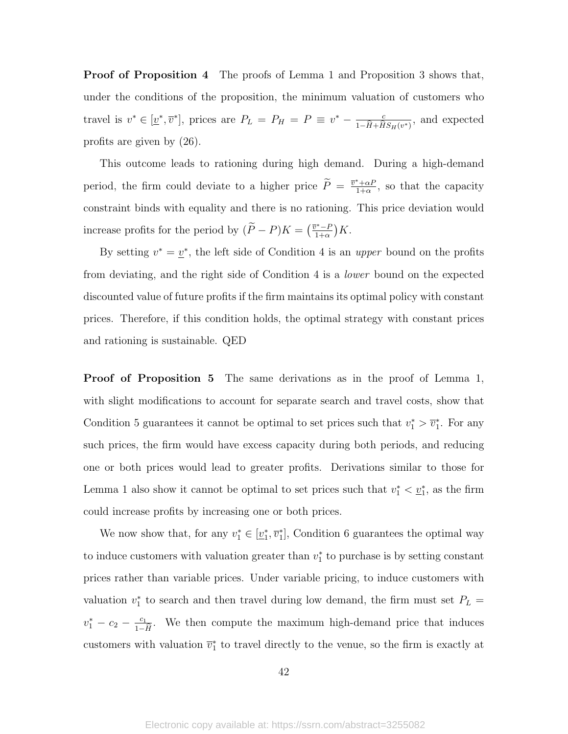**Proof of Proposition 4** The proofs of Lemma 1 and Proposition 3 shows that, under the conditions of the proposition, the minimum valuation of customers who travel is  $v^* \in [\underline{v}^*, \overline{v}^*]$ , prices are  $P_L = P_H = P \equiv v^* - \frac{c}{1 - \hat{H} + \hat{H}}$  $\frac{c}{1-\widehat{H}+\widehat{H}S_H(v^*)}$ , and expected profits are given by (26).

This outcome leads to rationing during high demand. During a high-demand period, the firm could deviate to a higher price  $\widetilde{P} = \frac{\overline{v}^* + \alpha P}{1 + \alpha}$  $\frac{\pi + \alpha P}{1 + \alpha}$ , so that the capacity constraint binds with equality and there is no rationing. This price deviation would increase profits for the period by  $(\widetilde{P} - P)K = \left(\frac{\overline{v}^* - P}{1 + \alpha}\right)$  $\frac{\bar{p}^*-P}{1+\alpha}$ )K.

By setting  $v^* = \underline{v}^*$ , the left side of Condition 4 is an upper bound on the profits from deviating, and the right side of Condition 4 is a lower bound on the expected discounted value of future profits if the firm maintains its optimal policy with constant prices. Therefore, if this condition holds, the optimal strategy with constant prices and rationing is sustainable. QED

**Proof of Proposition 5** The same derivations as in the proof of Lemma 1, with slight modifications to account for separate search and travel costs, show that Condition 5 guarantees it cannot be optimal to set prices such that  $v_1^* > \overline{v}_1^*$ . For any such prices, the firm would have excess capacity during both periods, and reducing one or both prices would lead to greater profits. Derivations similar to those for Lemma 1 also show it cannot be optimal to set prices such that  $v_1^* < \underline{v}_1^*$ , as the firm could increase profits by increasing one or both prices.

We now show that, for any  $v_1^* \in [\underline{v}_1^*, \overline{v}_1^*]$ , Condition 6 guarantees the optimal way to induce customers with valuation greater than  $v_1^*$  to purchase is by setting constant prices rather than variable prices. Under variable pricing, to induce customers with valuation  $v_1^*$  to search and then travel during low demand, the firm must set  $P_L$  =  $v_1^* - c_2 - \frac{c_1}{1-c_2}$  $1-H$ . We then compute the maximum high-demand price that induces customers with valuation  $\bar{v}_1^*$  to travel directly to the venue, so the firm is exactly at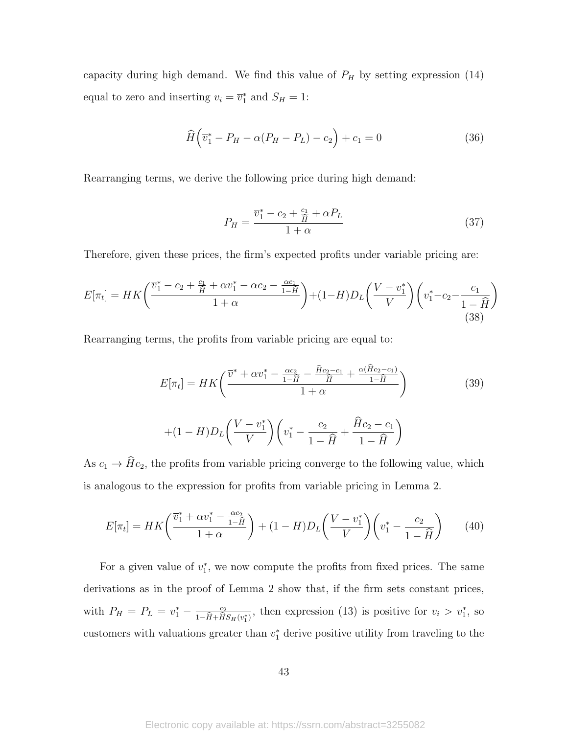capacity during high demand. We find this value of  $P_H$  by setting expression (14) equal to zero and inserting  $v_i = \overline{v}_1^*$  and  $S_H = 1$ :

$$
\widehat{H}\left(\overline{v}_1^* - P_H - \alpha(P_H - P_L) - c_2\right) + c_1 = 0\tag{36}
$$

Rearranging terms, we derive the following price during high demand:

$$
P_H = \frac{\overline{v}_1^* - c_2 + \frac{c_1}{\widehat{H}} + \alpha P_L}{1 + \alpha} \tag{37}
$$

Therefore, given these prices, the firm's expected profits under variable pricing are:

$$
E[\pi_t] = HK \left( \frac{\overline{v}_1^* - c_2 + \frac{c_1}{H} + \alpha v_1^* - \alpha c_2 - \frac{\alpha c_1}{1 - \tilde{H}}}{1 + \alpha} \right) + (1 - H) D_L \left( \frac{V - v_1^*}{V} \right) \left( v_1^* - c_2 - \frac{c_1}{1 - \tilde{H}} \right)
$$
\n(38)

Rearranging terms, the profits from variable pricing are equal to:

$$
E[\pi_t] = HK \left( \frac{\overline{v}^* + \alpha v_1^* - \frac{\alpha c_2}{1 - \tilde{H}} - \frac{\hat{H}c_2 - c_1}{\tilde{H}} + \frac{\alpha(\hat{H}c_2 - c_1)}{1 - \tilde{H}}}{1 + \alpha} \right)
$$
(39)  
+ (1 - H)D<sub>L</sub> $\left( \frac{V - v_1^*}{V} \right) \left( v_1^* - \frac{c_2}{1 - \tilde{H}} + \frac{\hat{H}c_2 - c_1}{1 - \tilde{H}} \right)$ 

As  $c_1 \rightarrow \hat{H}c_2$ , the profits from variable pricing converge to the following value, which is analogous to the expression for profits from variable pricing in Lemma 2.

$$
E[\pi_t] = HK\left(\frac{\overline{v}_1^* + \alpha v_1^* - \frac{\alpha c_2}{1 - \widehat{H}}}{1 + \alpha}\right) + (1 - H)D_L\left(\frac{V - v_1^*}{V}\right)\left(v_1^* - \frac{c_2}{1 - \widehat{H}}\right) \tag{40}
$$

For a given value of  $v_1^*$ , we now compute the profits from fixed prices. The same derivations as in the proof of Lemma 2 show that, if the firm sets constant prices, with  $P_H = P_L = v_1^* - \frac{c_2}{1 - \hat{H} + \hat{H}}$  $\frac{c_2}{1-\hat{H}+\hat{H}S_H(v_1^*)}$ , then expression (13) is positive for  $v_i > v_1^*$ , so customers with valuations greater than  $v_1^*$  derive positive utility from traveling to the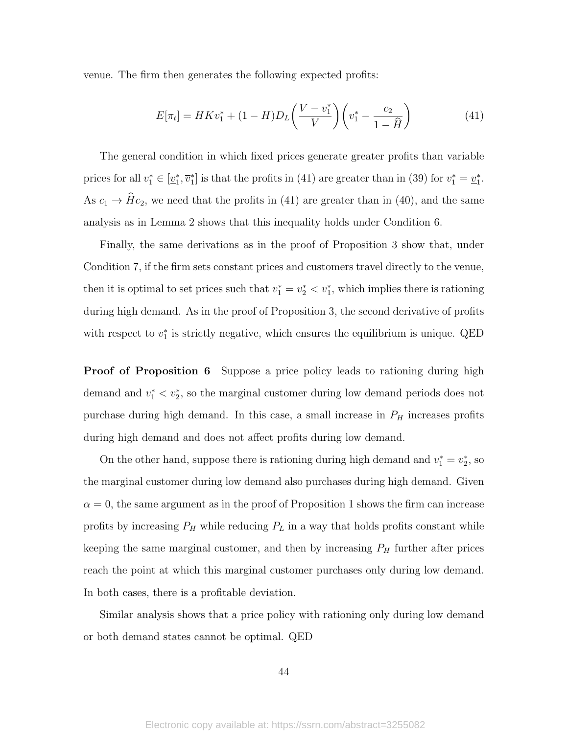venue. The firm then generates the following expected profits:

$$
E[\pi_t] = HKv_1^* + (1 - H)D_L\left(\frac{V - v_1^*}{V}\right)\left(v_1^* - \frac{c_2}{1 - \widehat{H}}\right)
$$
(41)

The general condition in which fixed prices generate greater profits than variable prices for all  $v_1^* \in [\underline{v}_1^*, \overline{v}_1^*]$  is that the profits in (41) are greater than in (39) for  $v_1^* = \underline{v}_1^*$ . As  $c_1 \rightarrow \hat{H}c_2$ , we need that the profits in (41) are greater than in (40), and the same analysis as in Lemma 2 shows that this inequality holds under Condition 6.

Finally, the same derivations as in the proof of Proposition 3 show that, under Condition 7, if the firm sets constant prices and customers travel directly to the venue, then it is optimal to set prices such that  $v_1^* = v_2^* < \overline{v}_1^*$ , which implies there is rationing during high demand. As in the proof of Proposition 3, the second derivative of profits with respect to  $v_1^*$  is strictly negative, which ensures the equilibrium is unique. QED

**Proof of Proposition 6** Suppose a price policy leads to rationing during high demand and  $v_1^* < v_2^*$ , so the marginal customer during low demand periods does not purchase during high demand. In this case, a small increase in  $P_H$  increases profits during high demand and does not affect profits during low demand.

On the other hand, suppose there is rationing during high demand and  $v_1^* = v_2^*$ , so the marginal customer during low demand also purchases during high demand. Given  $\alpha = 0$ , the same argument as in the proof of Proposition 1 shows the firm can increase profits by increasing  $P_H$  while reducing  $P_L$  in a way that holds profits constant while keeping the same marginal customer, and then by increasing  $P_H$  further after prices reach the point at which this marginal customer purchases only during low demand. In both cases, there is a profitable deviation.

Similar analysis shows that a price policy with rationing only during low demand or both demand states cannot be optimal. QED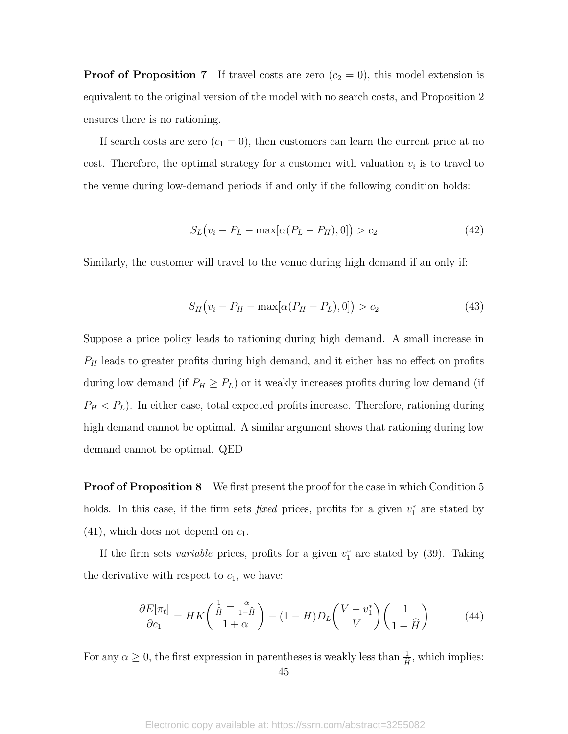**Proof of Proposition 7** If travel costs are zero  $(c_2 = 0)$ , this model extension is equivalent to the original version of the model with no search costs, and Proposition 2 ensures there is no rationing.

If search costs are zero  $(c_1 = 0)$ , then customers can learn the current price at no cost. Therefore, the optimal strategy for a customer with valuation  $v_i$  is to travel to the venue during low-demand periods if and only if the following condition holds:

$$
S_L(v_i - P_L - \max[\alpha(P_L - P_H), 0]) > c_2
$$
\n(42)

Similarly, the customer will travel to the venue during high demand if an only if:

$$
S_H(v_i - P_H - \max[\alpha(P_H - P_L), 0]) > c_2
$$
\n(43)

Suppose a price policy leads to rationing during high demand. A small increase in  $P_H$  leads to greater profits during high demand, and it either has no effect on profits during low demand (if  $P_H \ge P_L$ ) or it weakly increases profits during low demand (if  $P_H < P_L$ ). In either case, total expected profits increase. Therefore, rationing during high demand cannot be optimal. A similar argument shows that rationing during low demand cannot be optimal. QED

**Proof of Proposition 8** We first present the proof for the case in which Condition 5 holds. In this case, if the firm sets *fixed* prices, profits for a given  $v_1^*$  are stated by  $(41)$ , which does not depend on  $c_1$ .

If the firm sets *variable* prices, profits for a given  $v_1^*$  are stated by (39). Taking the derivative with respect to  $c_1$ , we have:

$$
\frac{\partial E[\pi_t]}{\partial c_1} = HK\left(\frac{\frac{1}{\tilde{H}} - \frac{\alpha}{1 - \tilde{H}}}{1 + \alpha}\right) - (1 - H)D_L\left(\frac{V - v_1^*}{V}\right)\left(\frac{1}{1 - \tilde{H}}\right) \tag{44}
$$

For any  $\alpha \geq 0$ , the first expression in parentheses is weakly less than  $\frac{1}{6}$  $\boldsymbol{H}$ , which implies: 45